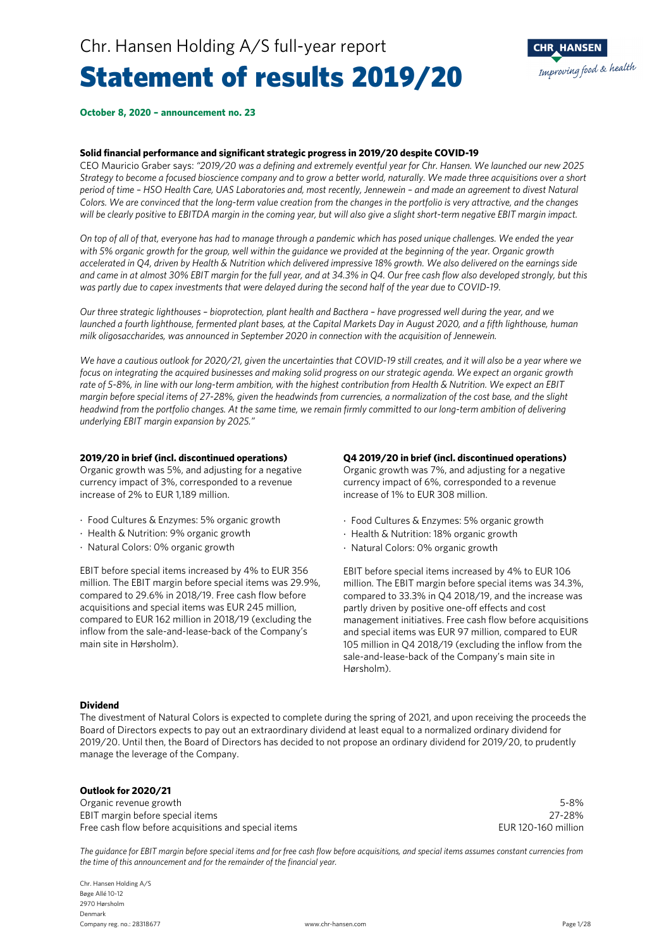# Statement of results 2019/20



#### **October 8, 2020 – announcement no. 23**

#### **Solid financial performance and significant strategic progress in 2019/20 despite COVID-19**

CEO Mauricio Graber says: *"2019/20 was a defining and extremely eventful year for Chr. Hansen. We launched our new 2025 Strategy to become a focused bioscience company and to grow a better world, naturally. We made three acquisitions over a short period of time – HSO Health Care, UAS Laboratories and, most recently, Jennewein – and made an agreement to divest Natural Colors. We are convinced that the long-term value creation from the changes in the portfolio is very attractive, and the changes will be clearly positive to EBITDA margin in the coming year, but will also give a slight short-term negative EBIT margin impact.* 

*On top of all of that, everyone has had to manage through a pandemic which has posed unique challenges. We ended the year*  with 5% organic growth for the group, well within the guidance we provided at the beginning of the year. Organic growth *accelerated in Q4, driven by Health & Nutrition which delivered impressive 18% growth. We also delivered on the earnings side and came in at almost 30% EBIT margin for the full year, and at 34.3% in Q4. Our free cash flow also developed strongly, but this was partly due to capex investments that were delayed during the second half of the year due to COVID-19.* 

*Our three strategic lighthouses – bioprotection, plant health and Bacthera – have progressed well during the year, and we launched a fourth lighthouse, fermented plant bases, at the Capital Markets Day in August 2020, and a fifth lighthouse, human milk oligosaccharides, was announced in September 2020 in connection with the acquisition of Jennewein.* 

*We have a cautious outlook for 2020/21, given the uncertainties that COVID-19 still creates, and it will also be a year where we focus on integrating the acquired businesses and making solid progress on our strategic agenda. We expect an organic growth rate of 5-8%, in line with our long-term ambition, with the highest contribution from Health & Nutrition. We expect an EBIT margin before special items of 27-28%, given the headwinds from currencies, a normalization of the cost base, and the slight headwind from the portfolio changes. At the same time, we remain firmly committed to our long-term ambition of delivering underlying EBIT margin expansion by 2025."* 

#### **2019/20 in brief (incl. discontinued operations)**

Organic growth was 5%, and adjusting for a negative currency impact of 3%, corresponded to a revenue increase of 2% to EUR 1,189 million.

- Food Cultures & Enzymes: 5% organic growth
- Health & Nutrition: 9% organic growth
- Natural Colors: 0% organic growth

EBIT before special items increased by 4% to EUR 356 million. The EBIT margin before special items was 29.9%, compared to 29.6% in 2018/19. Free cash flow before acquisitions and special items was EUR 245 million, compared to EUR 162 million in 2018/19 (excluding the inflow from the sale-and-lease-back of the Company's main site in Hørsholm).

#### **Q4 2019/20 in brief (incl. discontinued operations)**

Organic growth was 7%, and adjusting for a negative currency impact of 6%, corresponded to a revenue increase of 1% to EUR 308 million.

- Food Cultures & Enzymes: 5% organic growth
- Health & Nutrition: 18% organic growth
- Natural Colors: 0% organic growth

EBIT before special items increased by 4% to EUR 106 million. The EBIT margin before special items was 34.3%, compared to 33.3% in Q4 2018/19, and the increase was partly driven by positive one-off effects and cost management initiatives. Free cash flow before acquisitions and special items was EUR 97 million, compared to EUR 105 million in Q4 2018/19 (excluding the inflow from the sale-and-lease-back of the Company's main site in Hørsholm).

#### **Dividend**

The divestment of Natural Colors is expected to complete during the spring of 2021, and upon receiving the proceeds the Board of Directors expects to pay out an extraordinary dividend at least equal to a normalized ordinary dividend for 2019/20. Until then, the Board of Directors has decided to not propose an ordinary dividend for 2019/20, to prudently manage the leverage of the Company.

#### **Outlook for 2020/21**

Organic revenue growth 5-8% EBIT margin before special items 27-28% Free cash flow before acquisitions and special items EUR 120-160 million

*The guidance for EBIT margin before special items and for free cash flow before acquisitions, and special items assumes constant currencies from the time of this announcement and for the remainder of the financial year.* 

Chr. Hansen Holding A/S Bøge Allé 10-12 2970 Hørsholm Denmark Company reg. no.: 28318677 www.chr-hansen.com Page 1/28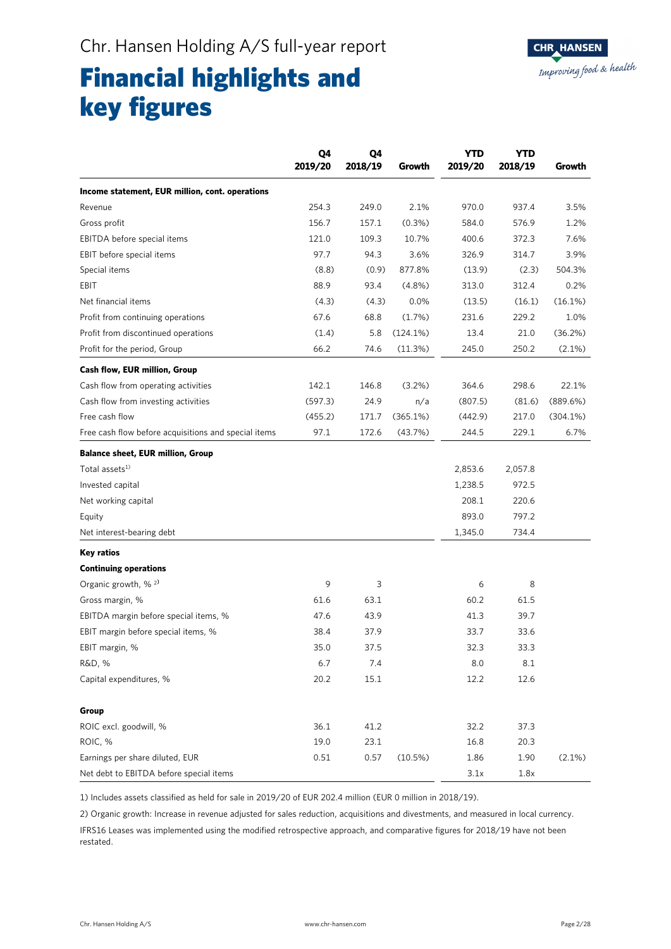# Financial highlights and key figures

|                                                      | Q4<br>2019/20 | Q4<br>2018/19 | Growth    | <b>YTD</b><br>2019/20 | <b>YTD</b><br>2018/19 | Growth      |
|------------------------------------------------------|---------------|---------------|-----------|-----------------------|-----------------------|-------------|
| Income statement, EUR million, cont. operations      |               |               |           |                       |                       |             |
| Revenue                                              | 254.3         | 249.0         | 2.1%      | 970.0                 | 937.4                 | 3.5%        |
| Gross profit                                         | 156.7         | 157.1         | $(0.3\%)$ | 584.0                 | 576.9                 | 1.2%        |
| EBITDA before special items                          | 121.0         | 109.3         | 10.7%     | 400.6                 | 372.3                 | 7.6%        |
| EBIT before special items                            | 97.7          | 94.3          | 3.6%      | 326.9                 | 314.7                 | 3.9%        |
| Special items                                        | (8.8)         | (0.9)         | 877.8%    | (13.9)                | (2.3)                 | 504.3%      |
| EBIT                                                 | 88.9          | 93.4          | $(4.8\%)$ | 313.0                 | 312.4                 | 0.2%        |
| Net financial items                                  | (4.3)         | (4.3)         | 0.0%      | (13.5)                | (16.1)                | (16.1%)     |
| Profit from continuing operations                    | 67.6          | 68.8          | (1.7%)    | 231.6                 | 229.2                 | 1.0%        |
| Profit from discontinued operations                  | (1.4)         | 5.8           | (124.1%)  | 13.4                  | 21.0                  | (36.2%)     |
| Profit for the period, Group                         | 66.2          | 74.6          | (11.3%)   | 245.0                 | 250.2                 | $(2.1\%)$   |
| <b>Cash flow, EUR million, Group</b>                 |               |               |           |                       |                       |             |
| Cash flow from operating activities                  | 142.1         | 146.8         | $(3.2\%)$ | 364.6                 | 298.6                 | 22.1%       |
| Cash flow from investing activities                  | (597.3)       | 24.9          | n/a       | (807.5)               | (81.6)                | (889.6%)    |
| Free cash flow                                       | (455.2)       | 171.7         | (365.1%)  | (442.9)               | 217.0                 | $(304.1\%)$ |
| Free cash flow before acquisitions and special items | 97.1          | 172.6         | (43.7%)   | 244.5                 | 229.1                 | 6.7%        |
| <b>Balance sheet, EUR million, Group</b>             |               |               |           |                       |                       |             |
| Total assets <sup>1)</sup>                           |               |               |           | 2,853.6               | 2,057.8               |             |
| Invested capital                                     |               |               |           | 1,238.5               | 972.5                 |             |
| Net working capital                                  |               |               |           | 208.1                 | 220.6                 |             |
| Equity                                               |               |               |           | 893.0                 | 797.2                 |             |
| Net interest-bearing debt                            |               |               |           | 1,345.0               | 734.4                 |             |
| <b>Key ratios</b>                                    |               |               |           |                       |                       |             |
| <b>Continuing operations</b>                         |               |               |           |                       |                       |             |
| Organic growth, % <sup>2)</sup>                      | 9             | 3             |           | 6                     | 8                     |             |
| Gross margin, %                                      | 61.6          | 63.1          |           | 60.2                  | 61.5                  |             |
| EBITDA margin before special items, %                | 47.6          | 43.9          |           | 41.3                  | 39.7                  |             |
| EBIT margin before special items, %                  | 38.4          | 37.9          |           | 33.7                  | 33.6                  |             |
| EBIT margin, %                                       | 35.0          | 37.5          |           | 32.3                  | 33.3                  |             |
| R&D, %                                               | 6.7           | 7.4           |           | 8.0                   | 8.1                   |             |
| Capital expenditures, %                              | 20.2          | 15.1          |           | 12.2                  | 12.6                  |             |
| Group                                                |               |               |           |                       |                       |             |
| ROIC excl. goodwill, %                               | 36.1          | 41.2          |           | 32.2                  | 37.3                  |             |
| ROIC, %                                              | 19.0          | 23.1          |           | 16.8                  | 20.3                  |             |
| Earnings per share diluted, EUR                      | 0.51          | 0.57          | (10.5%)   | 1.86                  | 1.90                  | (2.1%)      |
| Net debt to EBITDA before special items              |               |               |           | 3.1x                  | 1.8x                  |             |

1) Includes assets classified as held for sale in 2019/20 of EUR 202.4 million (EUR 0 million in 2018/19).

2) Organic growth: Increase in revenue adjusted for sales reduction, acquisitions and divestments, and measured in local currency.

IFRS16 Leases was implemented using the modified retrospective approach, and comparative figures for 2018/19 have not been restated.

**CHR HANSEN** 

Improving food & health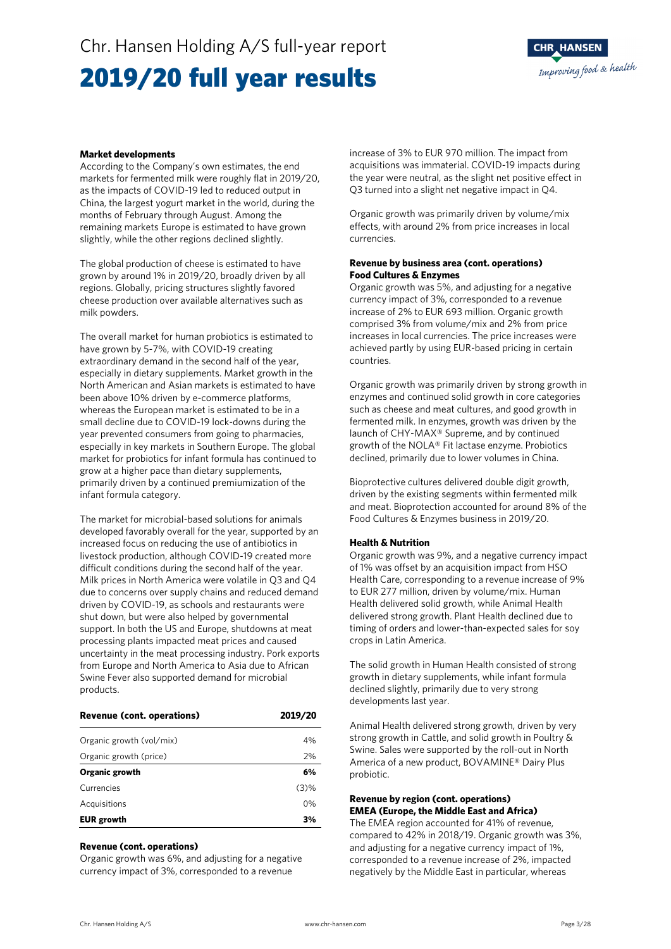### Chr. Hansen Holding A/S full-year report

### 2019/20 full year results



#### **Market developments**

According to the Company's own estimates, the end markets for fermented milk were roughly flat in 2019/20, as the impacts of COVID-19 led to reduced output in China, the largest yogurt market in the world, during the months of February through August. Among the remaining markets Europe is estimated to have grown slightly, while the other regions declined slightly.

The global production of cheese is estimated to have grown by around 1% in 2019/20, broadly driven by all regions. Globally, pricing structures slightly favored cheese production over available alternatives such as milk powders.

The overall market for human probiotics is estimated to have grown by 5-7%, with COVID-19 creating extraordinary demand in the second half of the year, especially in dietary supplements. Market growth in the North American and Asian markets is estimated to have been above 10% driven by e-commerce platforms, whereas the European market is estimated to be in a small decline due to COVID-19 lock-downs during the year prevented consumers from going to pharmacies, especially in key markets in Southern Europe. The global market for probiotics for infant formula has continued to grow at a higher pace than dietary supplements, primarily driven by a continued premiumization of the infant formula category.

The market for microbial-based solutions for animals developed favorably overall for the year, supported by an increased focus on reducing the use of antibiotics in livestock production, although COVID-19 created more difficult conditions during the second half of the year. Milk prices in North America were volatile in Q3 and Q4 due to concerns over supply chains and reduced demand driven by COVID-19, as schools and restaurants were shut down, but were also helped by governmental support. In both the US and Europe, shutdowns at meat processing plants impacted meat prices and caused uncertainty in the meat processing industry. Pork exports from Europe and North America to Asia due to African Swine Fever also supported demand for microbial products.

| <b>Revenue (cont. operations)</b> | 2019/20 |
|-----------------------------------|---------|
| Organic growth (vol/mix)          | 4%      |
| Organic growth (price)            | 2%      |
| Organic growth                    | 6%      |
| Currencies                        | (3)%    |
| Acquisitions                      | 0%      |
| <b>EUR</b> growth                 | 3%      |

#### **Revenue (cont. operations)**

Organic growth was 6%, and adjusting for a negative currency impact of 3%, corresponded to a revenue

increase of 3% to EUR 970 million. The impact from acquisitions was immaterial. COVID-19 impacts during the year were neutral, as the slight net positive effect in Q3 turned into a slight net negative impact in Q4.

Organic growth was primarily driven by volume/mix effects, with around 2% from price increases in local currencies.

#### **Revenue by business area (cont. operations) Food Cultures & Enzymes**

Organic growth was 5%, and adjusting for a negative currency impact of 3%, corresponded to a revenue increase of 2% to EUR 693 million. Organic growth comprised 3% from volume/mix and 2% from price increases in local currencies. The price increases were achieved partly by using EUR-based pricing in certain countries.

Organic growth was primarily driven by strong growth in enzymes and continued solid growth in core categories such as cheese and meat cultures, and good growth in fermented milk. In enzymes, growth was driven by the launch of CHY-MAX® Supreme, and by continued growth of the NOLA® Fit lactase enzyme. Probiotics declined, primarily due to lower volumes in China.

Bioprotective cultures delivered double digit growth, driven by the existing segments within fermented milk and meat. Bioprotection accounted for around 8% of the Food Cultures & Enzymes business in 2019/20.

#### **Health & Nutrition**

Organic growth was 9%, and a negative currency impact of 1% was offset by an acquisition impact from HSO Health Care, corresponding to a revenue increase of 9% to EUR 277 million, driven by volume/mix. Human Health delivered solid growth, while Animal Health delivered strong growth. Plant Health declined due to timing of orders and lower-than-expected sales for soy crops in Latin America.

The solid growth in Human Health consisted of strong growth in dietary supplements, while infant formula declined slightly, primarily due to very strong developments last year.

Animal Health delivered strong growth, driven by very strong growth in Cattle, and solid growth in Poultry & Swine. Sales were supported by the roll-out in North America of a new product, BOVAMINE® Dairy Plus probiotic.

#### **Revenue by region (cont. operations) EMEA (Europe, the Middle East and Africa)**

The EMEA region accounted for 41% of revenue, compared to 42% in 2018/19. Organic growth was 3%, and adjusting for a negative currency impact of 1%, corresponded to a revenue increase of 2%, impacted negatively by the Middle East in particular, whereas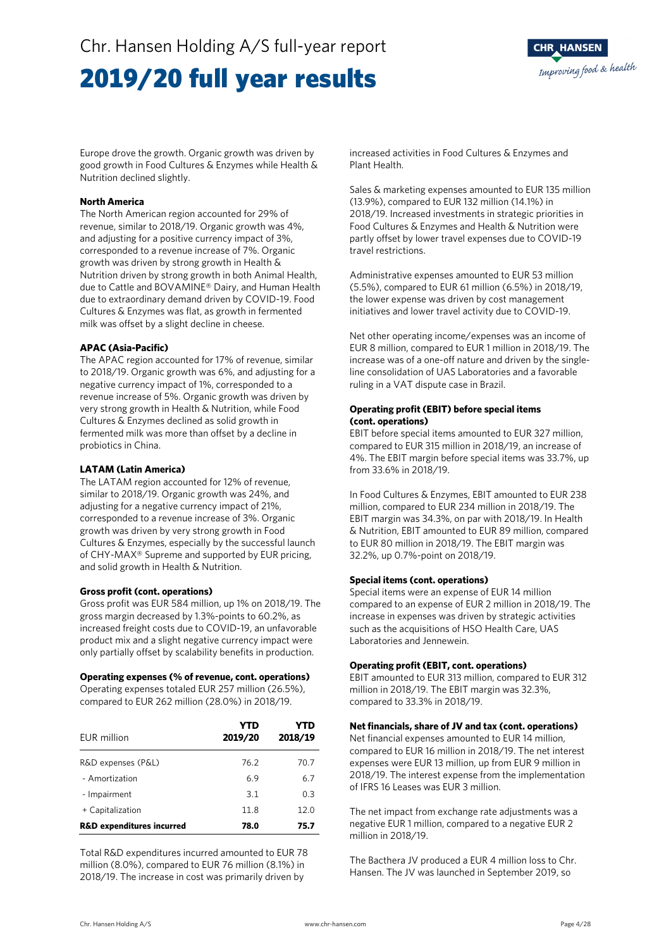### 2019/20 full year results



Europe drove the growth. Organic growth was driven by good growth in Food Cultures & Enzymes while Health & Nutrition declined slightly.

#### **North America**

The North American region accounted for 29% of revenue, similar to 2018/19. Organic growth was 4%, and adjusting for a positive currency impact of 3%, corresponded to a revenue increase of 7%. Organic growth was driven by strong growth in Health & Nutrition driven by strong growth in both Animal Health, due to Cattle and BOVAMINE® Dairy, and Human Health due to extraordinary demand driven by COVID-19. Food Cultures & Enzymes was flat, as growth in fermented milk was offset by a slight decline in cheese.

#### **APAC (Asia-Pacific)**

The APAC region accounted for 17% of revenue, similar to 2018/19. Organic growth was 6%, and adjusting for a negative currency impact of 1%, corresponded to a revenue increase of 5%. Organic growth was driven by very strong growth in Health & Nutrition, while Food Cultures & Enzymes declined as solid growth in fermented milk was more than offset by a decline in probiotics in China.

#### **LATAM (Latin America)**

The LATAM region accounted for 12% of revenue, similar to 2018/19. Organic growth was 24%, and adjusting for a negative currency impact of 21%, corresponded to a revenue increase of 3%. Organic growth was driven by very strong growth in Food Cultures & Enzymes, especially by the successful launch of CHY-MAX® Supreme and supported by EUR pricing, and solid growth in Health & Nutrition.

#### **Gross profit (cont. operations)**

Gross profit was EUR 584 million, up 1% on 2018/19. The gross margin decreased by 1.3%-points to 60.2%, as increased freight costs due to COVID-19, an unfavorable product mix and a slight negative currency impact were only partially offset by scalability benefits in production.

#### **Operating expenses (% of revenue, cont. operations)**

Operating expenses totaled EUR 257 million (26.5%), compared to EUR 262 million (28.0%) in 2018/19.

| EUR million                          | YTD<br>2019/20 | YTD<br>2018/19 |
|--------------------------------------|----------------|----------------|
| R&D expenses (P&L)                   | 76.2           | 70.7           |
| - Amortization                       | 6.9            | 6.7            |
| - Impairment                         | 3.1            | 0.3            |
| + Capitalization                     | 11.8           | 12.0           |
| <b>R&amp;D expenditures incurred</b> | 78.0           | 75.7           |

Total R&D expenditures incurred amounted to EUR 78 million (8.0%), compared to EUR 76 million (8.1%) in 2018/19. The increase in cost was primarily driven by

increased activities in Food Cultures & Enzymes and Plant Health.

Sales & marketing expenses amounted to EUR 135 million (13.9%), compared to EUR 132 million (14.1%) in 2018/19. Increased investments in strategic priorities in Food Cultures & Enzymes and Health & Nutrition were partly offset by lower travel expenses due to COVID-19 travel restrictions.

Administrative expenses amounted to EUR 53 million (5.5%), compared to EUR 61 million (6.5%) in 2018/19, the lower expense was driven by cost management initiatives and lower travel activity due to COVID-19.

Net other operating income/expenses was an income of EUR 8 million, compared to EUR 1 million in 2018/19. The increase was of a one-off nature and driven by the singleline consolidation of UAS Laboratories and a favorable ruling in a VAT dispute case in Brazil.

#### **Operating profit (EBIT) before special items (cont. operations)**

EBIT before special items amounted to EUR 327 million, compared to EUR 315 million in 2018/19, an increase of 4%. The EBIT margin before special items was 33.7%, up from 33.6% in 2018/19.

In Food Cultures & Enzymes, EBIT amounted to EUR 238 million, compared to EUR 234 million in 2018/19. The EBIT margin was 34.3%, on par with 2018/19. In Health & Nutrition, EBIT amounted to EUR 89 million, compared to EUR 80 million in 2018/19. The EBIT margin was 32.2%, up 0.7%-point on 2018/19.

#### **Special items (cont. operations)**

Special items were an expense of EUR 14 million compared to an expense of EUR 2 million in 2018/19. The increase in expenses was driven by strategic activities such as the acquisitions of HSO Health Care, UAS Laboratories and Jennewein.

#### **Operating profit (EBIT, cont. operations)**

EBIT amounted to EUR 313 million, compared to EUR 312 million in 2018/19. The EBIT margin was 32.3%, compared to 33.3% in 2018/19.

#### **Net financials, share of JV and tax (cont. operations)**

Net financial expenses amounted to EUR 14 million, compared to EUR 16 million in 2018/19. The net interest expenses were EUR 13 million, up from EUR 9 million in 2018/19. The interest expense from the implementation of IFRS 16 Leases was EUR 3 million.

The net impact from exchange rate adjustments was a negative EUR 1 million, compared to a negative EUR 2 million in 2018/19.

The Bacthera JV produced a EUR 4 million loss to Chr. Hansen. The JV was launched in September 2019, so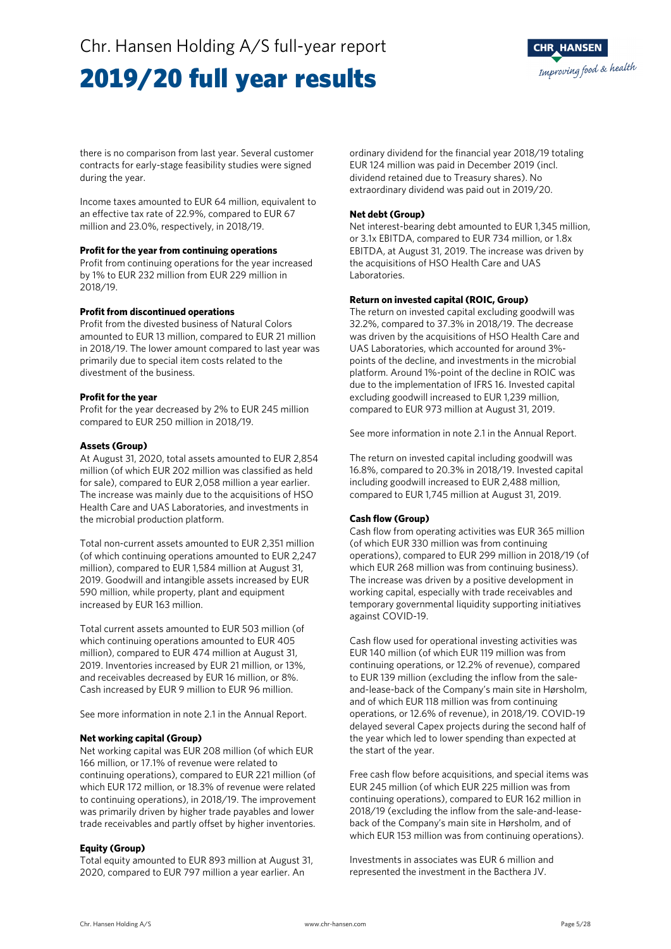### Chr. Hansen Holding A/S full-year report

### 2019/20 full year results



there is no comparison from last year. Several customer contracts for early-stage feasibility studies were signed during the year.

Income taxes amounted to EUR 64 million, equivalent to an effective tax rate of 22.9%, compared to EUR 67 million and 23.0%, respectively, in 2018/19.

#### **Profit for the year from continuing operations**

Profit from continuing operations for the year increased by 1% to EUR 232 million from EUR 229 million in 2018/19.

#### **Profit from discontinued operations**

Profit from the divested business of Natural Colors amounted to EUR 13 million, compared to EUR 21 million in 2018/19. The lower amount compared to last year was primarily due to special item costs related to the divestment of the business.

#### **Profit for the year**

Profit for the year decreased by 2% to EUR 245 million compared to EUR 250 million in 2018/19.

#### **Assets (Group)**

At August 31, 2020, total assets amounted to EUR 2,854 million (of which EUR 202 million was classified as held for sale), compared to EUR 2,058 million a year earlier. The increase was mainly due to the acquisitions of HSO Health Care and UAS Laboratories, and investments in the microbial production platform.

Total non-current assets amounted to EUR 2,351 million (of which continuing operations amounted to EUR 2,247 million), compared to EUR 1,584 million at August 31, 2019. Goodwill and intangible assets increased by EUR 590 million, while property, plant and equipment increased by EUR 163 million.

Total current assets amounted to EUR 503 million (of which continuing operations amounted to EUR 405 million), compared to EUR 474 million at August 31, 2019. Inventories increased by EUR 21 million, or 13%, and receivables decreased by EUR 16 million, or 8%. Cash increased by EUR 9 million to EUR 96 million.

See more information in note 2.1 in the Annual Report.

#### **Net working capital (Group)**

Net working capital was EUR 208 million (of which EUR 166 million, or 17.1% of revenue were related to continuing operations), compared to EUR 221 million (of which EUR 172 million, or 18.3% of revenue were related to continuing operations), in 2018/19. The improvement was primarily driven by higher trade payables and lower trade receivables and partly offset by higher inventories.

#### **Equity (Group)**

Total equity amounted to EUR 893 million at August 31, 2020, compared to EUR 797 million a year earlier. An

ordinary dividend for the financial year 2018/19 totaling EUR 124 million was paid in December 2019 (incl. dividend retained due to Treasury shares). No extraordinary dividend was paid out in 2019/20.

#### **Net debt (Group)**

Net interest-bearing debt amounted to EUR 1,345 million, or 3.1x EBITDA, compared to EUR 734 million, or 1.8x EBITDA, at August 31, 2019. The increase was driven by the acquisitions of HSO Health Care and UAS Laboratories.

#### **Return on invested capital (ROIC, Group)**

The return on invested capital excluding goodwill was 32.2%, compared to 37.3% in 2018/19. The decrease was driven by the acquisitions of HSO Health Care and UAS Laboratories, which accounted for around 3% points of the decline, and investments in the microbial platform. Around 1%-point of the decline in ROIC was due to the implementation of IFRS 16. Invested capital excluding goodwill increased to EUR 1,239 million, compared to EUR 973 million at August 31, 2019.

See more information in note 2.1 in the Annual Report.

The return on invested capital including goodwill was 16.8%, compared to 20.3% in 2018/19. Invested capital including goodwill increased to EUR 2,488 million, compared to EUR 1,745 million at August 31, 2019.

#### **Cash flow (Group)**

Cash flow from operating activities was EUR 365 million (of which EUR 330 million was from continuing operations), compared to EUR 299 million in 2018/19 (of which EUR 268 million was from continuing business). The increase was driven by a positive development in working capital, especially with trade receivables and temporary governmental liquidity supporting initiatives against COVID-19.

Cash flow used for operational investing activities was EUR 140 million (of which EUR 119 million was from continuing operations, or 12.2% of revenue), compared to EUR 139 million (excluding the inflow from the saleand-lease-back of the Company's main site in Hørsholm, and of which EUR 118 million was from continuing operations, or 12.6% of revenue), in 2018/19. COVID-19 delayed several Capex projects during the second half of the year which led to lower spending than expected at the start of the year.

Free cash flow before acquisitions, and special items was EUR 245 million (of which EUR 225 million was from continuing operations), compared to EUR 162 million in 2018/19 (excluding the inflow from the sale-and-leaseback of the Company's main site in Hørsholm, and of which EUR 153 million was from continuing operations).

Investments in associates was EUR 6 million and represented the investment in the Bacthera JV.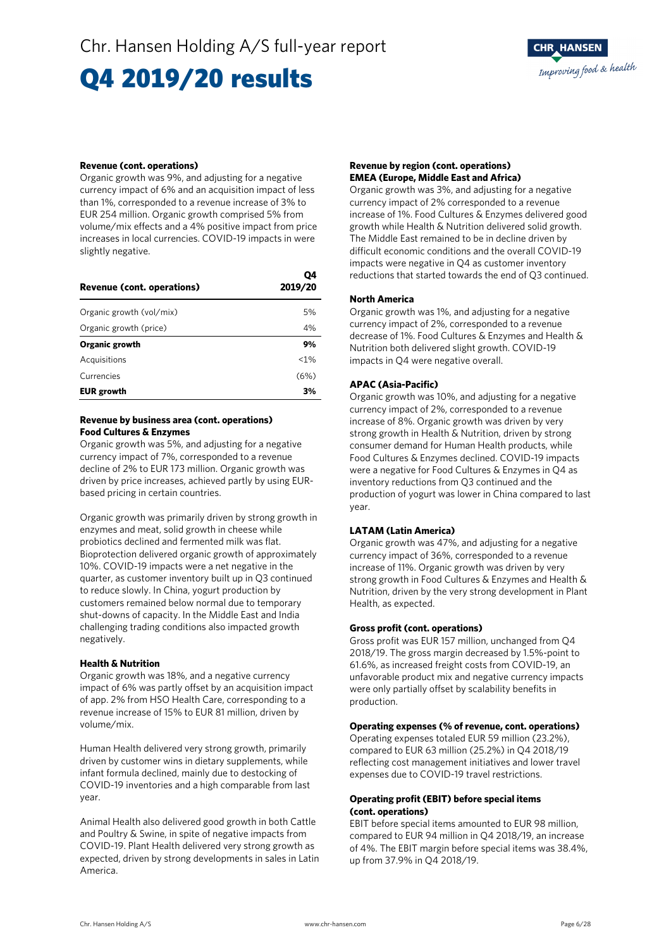# Q4 2019/20 results

#### **Revenue (cont. operations)**

Organic growth was 9%, and adjusting for a negative currency impact of 6% and an acquisition impact of less than 1%, corresponded to a revenue increase of 3% to EUR 254 million. Organic growth comprised 5% from volume/mix effects and a 4% positive impact from price increases in local currencies. COVID-19 impacts in were slightly negative.

| Revenue (cont. operations) | Ο4<br>2019/20 |
|----------------------------|---------------|
| Organic growth (vol/mix)   | 5%            |
| Organic growth (price)     | 4%            |
| Organic growth             | 9%            |
| Acquisitions               | < 1%          |
| Currencies                 | (6%)          |
| <b>EUR</b> growth          | 3%            |

#### **Revenue by business area (cont. operations) Food Cultures & Enzymes**

Organic growth was 5%, and adjusting for a negative currency impact of 7%, corresponded to a revenue decline of 2% to EUR 173 million. Organic growth was driven by price increases, achieved partly by using EURbased pricing in certain countries.

Organic growth was primarily driven by strong growth in enzymes and meat, solid growth in cheese while probiotics declined and fermented milk was flat. Bioprotection delivered organic growth of approximately 10%. COVID-19 impacts were a net negative in the quarter, as customer inventory built up in Q3 continued to reduce slowly. In China, yogurt production by customers remained below normal due to temporary shut-downs of capacity. In the Middle East and India challenging trading conditions also impacted growth negatively.

#### **Health & Nutrition**

Organic growth was 18%, and a negative currency impact of 6% was partly offset by an acquisition impact of app. 2% from HSO Health Care, corresponding to a revenue increase of 15% to EUR 81 million, driven by volume/mix.

Human Health delivered very strong growth, primarily driven by customer wins in dietary supplements, while infant formula declined, mainly due to destocking of COVID-19 inventories and a high comparable from last year.

Animal Health also delivered good growth in both Cattle and Poultry & Swine, in spite of negative impacts from COVID-19. Plant Health delivered very strong growth as expected, driven by strong developments in sales in Latin America.

#### **Revenue by region (cont. operations) EMEA (Europe, Middle East and Africa)**

Organic growth was 3%, and adjusting for a negative currency impact of 2% corresponded to a revenue increase of 1%. Food Cultures & Enzymes delivered good growth while Health & Nutrition delivered solid growth. The Middle East remained to be in decline driven by difficult economic conditions and the overall COVID-19 impacts were negative in Q4 as customer inventory reductions that started towards the end of Q3 continued.

#### **North America**

Organic growth was 1%, and adjusting for a negative currency impact of 2%, corresponded to a revenue decrease of 1%. Food Cultures & Enzymes and Health & Nutrition both delivered slight growth. COVID-19 impacts in Q4 were negative overall.

#### **APAC (Asia-Pacific)**

Organic growth was 10%, and adjusting for a negative currency impact of 2%, corresponded to a revenue increase of 8%. Organic growth was driven by very strong growth in Health & Nutrition, driven by strong consumer demand for Human Health products, while Food Cultures & Enzymes declined. COVID-19 impacts were a negative for Food Cultures & Enzymes in Q4 as inventory reductions from Q3 continued and the production of yogurt was lower in China compared to last year.

#### **LATAM (Latin America)**

Organic growth was 47%, and adjusting for a negative currency impact of 36%, corresponded to a revenue increase of 11%. Organic growth was driven by very strong growth in Food Cultures & Enzymes and Health & Nutrition, driven by the very strong development in Plant Health, as expected.

#### **Gross profit (cont. operations)**

Gross profit was EUR 157 million, unchanged from Q4 2018/19. The gross margin decreased by 1.5%-point to 61.6%, as increased freight costs from COVID-19, an unfavorable product mix and negative currency impacts were only partially offset by scalability benefits in production.

#### **Operating expenses (% of revenue, cont. operations)**

Operating expenses totaled EUR 59 million (23.2%), compared to EUR 63 million (25.2%) in Q4 2018/19 reflecting cost management initiatives and lower travel expenses due to COVID-19 travel restrictions.

#### **Operating profit (EBIT) before special items (cont. operations)**

EBIT before special items amounted to EUR 98 million, compared to EUR 94 million in Q4 2018/19, an increase of 4%. The EBIT margin before special items was 38.4%, up from 37.9% in Q4 2018/19.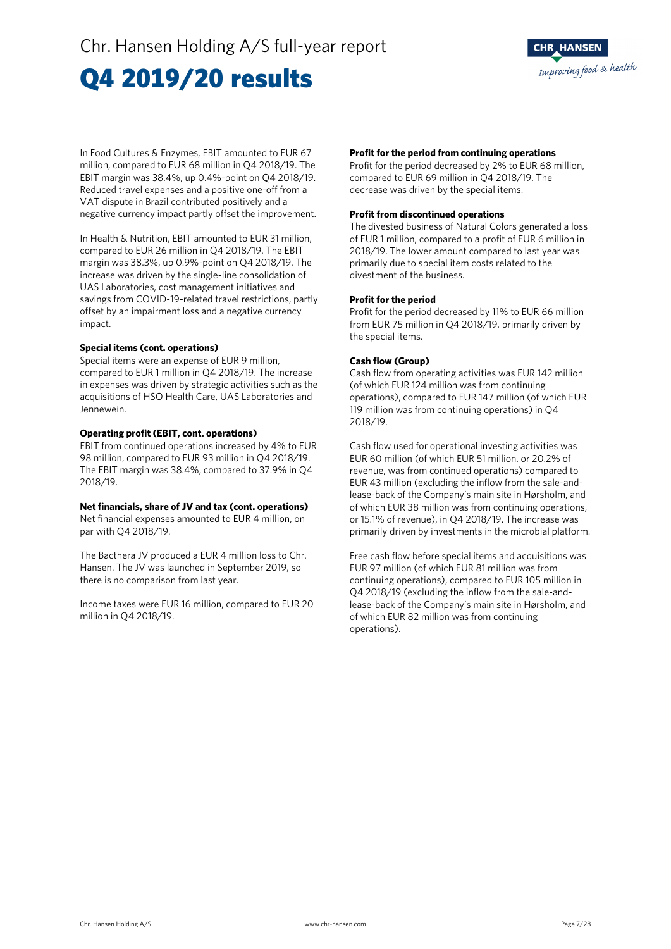# Q4 2019/20 results



In Food Cultures & Enzymes, EBIT amounted to EUR 67 million, compared to EUR 68 million in Q4 2018/19. The EBIT margin was 38.4%, up 0.4%-point on Q4 2018/19. Reduced travel expenses and a positive one-off from a VAT dispute in Brazil contributed positively and a negative currency impact partly offset the improvement.

In Health & Nutrition, EBIT amounted to EUR 31 million, compared to EUR 26 million in Q4 2018/19. The EBIT margin was 38.3%, up 0.9%-point on Q4 2018/19. The increase was driven by the single-line consolidation of UAS Laboratories, cost management initiatives and savings from COVID-19-related travel restrictions, partly offset by an impairment loss and a negative currency impact.

#### **Special items (cont. operations)**

Special items were an expense of EUR 9 million, compared to EUR 1 million in Q4 2018/19. The increase in expenses was driven by strategic activities such as the acquisitions of HSO Health Care, UAS Laboratories and Jennewein.

#### **Operating profit (EBIT, cont. operations)**

EBIT from continued operations increased by 4% to EUR 98 million, compared to EUR 93 million in Q4 2018/19. The EBIT margin was 38.4%, compared to 37.9% in Q4 2018/19.

#### **Net financials, share of JV and tax (cont. operations)**

Net financial expenses amounted to EUR 4 million, on par with Q4 2018/19.

The Bacthera JV produced a EUR 4 million loss to Chr. Hansen. The JV was launched in September 2019, so there is no comparison from last year.

Income taxes were EUR 16 million, compared to EUR 20 million in Q4 2018/19.

#### **Profit for the period from continuing operations**

Profit for the period decreased by 2% to EUR 68 million, compared to EUR 69 million in Q4 2018/19. The decrease was driven by the special items.

#### **Profit from discontinued operations**

The divested business of Natural Colors generated a loss of EUR 1 million, compared to a profit of EUR 6 million in 2018/19. The lower amount compared to last year was primarily due to special item costs related to the divestment of the business.

#### **Profit for the period**

Profit for the period decreased by 11% to EUR 66 million from EUR 75 million in Q4 2018/19, primarily driven by the special items.

#### **Cash flow (Group)**

Cash flow from operating activities was EUR 142 million (of which EUR 124 million was from continuing operations), compared to EUR 147 million (of which EUR 119 million was from continuing operations) in Q4 2018/19.

Cash flow used for operational investing activities was EUR 60 million (of which EUR 51 million, or 20.2% of revenue, was from continued operations) compared to EUR 43 million (excluding the inflow from the sale-andlease-back of the Company's main site in Hørsholm, and of which EUR 38 million was from continuing operations, or 15.1% of revenue), in Q4 2018/19. The increase was primarily driven by investments in the microbial platform.

Free cash flow before special items and acquisitions was EUR 97 million (of which EUR 81 million was from continuing operations), compared to EUR 105 million in Q4 2018/19 (excluding the inflow from the sale-andlease-back of the Company's main site in Hørsholm, and of which EUR 82 million was from continuing operations).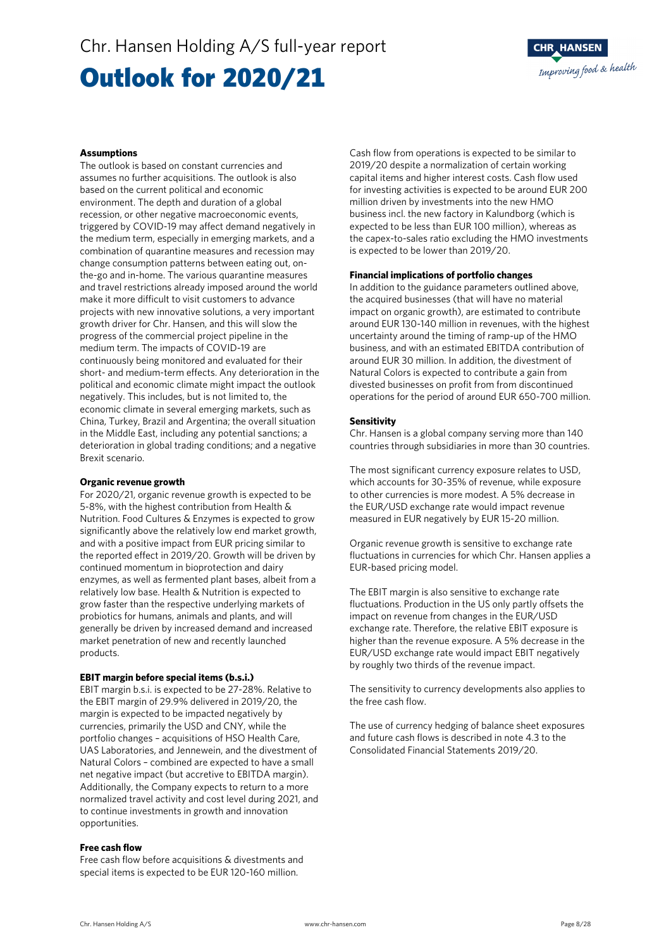Chr. Hansen Holding A/S full-year report

## Outlook for 2020/21



#### **Assumptions**

The outlook is based on constant currencies and assumes no further acquisitions. The outlook is also based on the current political and economic environment. The depth and duration of a global recession, or other negative macroeconomic events, triggered by COVID-19 may affect demand negatively in the medium term, especially in emerging markets, and a combination of quarantine measures and recession may change consumption patterns between eating out, onthe-go and in-home. The various quarantine measures and travel restrictions already imposed around the world make it more difficult to visit customers to advance projects with new innovative solutions, a very important growth driver for Chr. Hansen, and this will slow the progress of the commercial project pipeline in the medium term. The impacts of COVID-19 are continuously being monitored and evaluated for their short- and medium-term effects. Any deterioration in the political and economic climate might impact the outlook negatively. This includes, but is not limited to, the economic climate in several emerging markets, such as China, Turkey, Brazil and Argentina; the overall situation in the Middle East, including any potential sanctions; a deterioration in global trading conditions; and a negative Brexit scenario.

#### **Organic revenue growth**

For 2020/21, organic revenue growth is expected to be 5-8%, with the highest contribution from Health & Nutrition. Food Cultures & Enzymes is expected to grow significantly above the relatively low end market growth, and with a positive impact from EUR pricing similar to the reported effect in 2019/20. Growth will be driven by continued momentum in bioprotection and dairy enzymes, as well as fermented plant bases, albeit from a relatively low base. Health & Nutrition is expected to grow faster than the respective underlying markets of probiotics for humans, animals and plants, and will generally be driven by increased demand and increased market penetration of new and recently launched products.

#### **EBIT margin before special items (b.s.i.)**

EBIT margin b.s.i. is expected to be 27-28%. Relative to the EBIT margin of 29.9% delivered in 2019/20, the margin is expected to be impacted negatively by currencies, primarily the USD and CNY, while the portfolio changes – acquisitions of HSO Health Care, UAS Laboratories, and Jennewein, and the divestment of Natural Colors – combined are expected to have a small net negative impact (but accretive to EBITDA margin). Additionally, the Company expects to return to a more normalized travel activity and cost level during 2021, and to continue investments in growth and innovation opportunities.

#### **Free cash flow**

Free cash flow before acquisitions & divestments and special items is expected to be EUR 120-160 million.

Cash flow from operations is expected to be similar to 2019/20 despite a normalization of certain working capital items and higher interest costs. Cash flow used for investing activities is expected to be around EUR 200 million driven by investments into the new HMO business incl. the new factory in Kalundborg (which is expected to be less than EUR 100 million), whereas as the capex-to-sales ratio excluding the HMO investments is expected to be lower than 2019/20.

#### **Financial implications of portfolio changes**

In addition to the guidance parameters outlined above, the acquired businesses (that will have no material impact on organic growth), are estimated to contribute around EUR 130-140 million in revenues, with the highest uncertainty around the timing of ramp-up of the HMO business, and with an estimated EBITDA contribution of around EUR 30 million. In addition, the divestment of Natural Colors is expected to contribute a gain from divested businesses on profit from from discontinued operations for the period of around EUR 650-700 million.

#### **Sensitivity**

Chr. Hansen is a global company serving more than 140 countries through subsidiaries in more than 30 countries.

The most significant currency exposure relates to USD, which accounts for 30-35% of revenue, while exposure to other currencies is more modest. A 5% decrease in the EUR/USD exchange rate would impact revenue measured in EUR negatively by EUR 15-20 million.

Organic revenue growth is sensitive to exchange rate fluctuations in currencies for which Chr. Hansen applies a EUR-based pricing model.

The EBIT margin is also sensitive to exchange rate fluctuations. Production in the US only partly offsets the impact on revenue from changes in the EUR/USD exchange rate. Therefore, the relative EBIT exposure is higher than the revenue exposure. A 5% decrease in the EUR/USD exchange rate would impact EBIT negatively by roughly two thirds of the revenue impact.

The sensitivity to currency developments also applies to the free cash flow.

The use of currency hedging of balance sheet exposures and future cash flows is described in note 4.3 to the Consolidated Financial Statements 2019/20.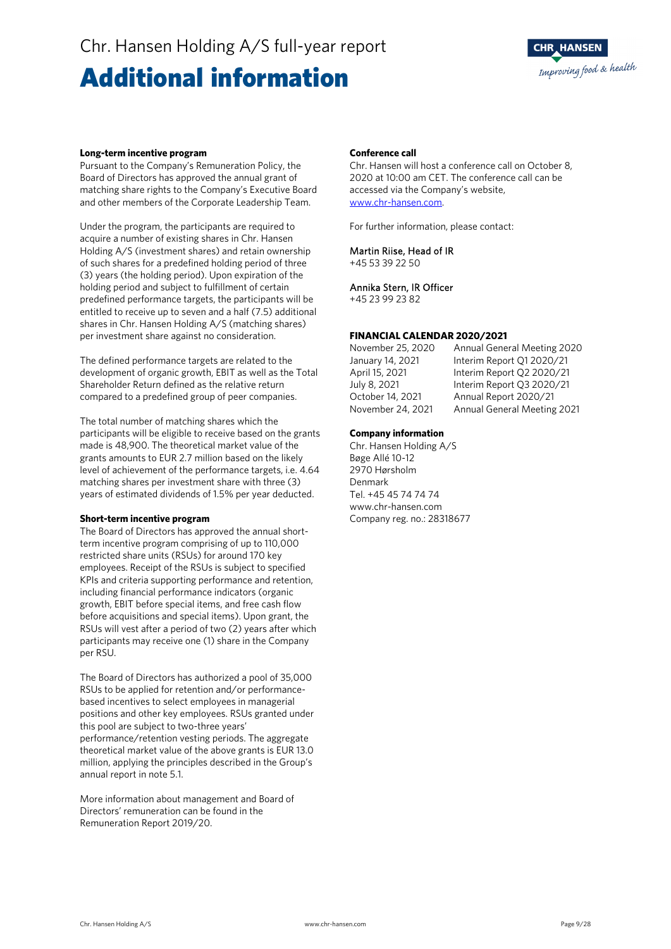### Chr. Hansen Holding A/S full-year report

### Additional information



#### **Long-term incentive program**

Pursuant to the Company's Remuneration Policy, the Board of Directors has approved the annual grant of matching share rights to the Company's Executive Board and other members of the Corporate Leadership Team.

Under the program, the participants are required to acquire a number of existing shares in Chr. Hansen Holding A/S (investment shares) and retain ownership of such shares for a predefined holding period of three (3) years (the holding period). Upon expiration of the holding period and subject to fulfillment of certain predefined performance targets, the participants will be entitled to receive up to seven and a half (7.5) additional shares in Chr. Hansen Holding A/S (matching shares) per investment share against no consideration.

The defined performance targets are related to the development of organic growth, EBIT as well as the Total Shareholder Return defined as the relative return compared to a predefined group of peer companies.

The total number of matching shares which the participants will be eligible to receive based on the grants made is 48,900. The theoretical market value of the grants amounts to EUR 2.7 million based on the likely level of achievement of the performance targets, i.e. 4.64 matching shares per investment share with three (3) years of estimated dividends of 1.5% per year deducted.

#### **Short-term incentive program**

The Board of Directors has approved the annual shortterm incentive program comprising of up to 110,000 restricted share units (RSUs) for around 170 key employees. Receipt of the RSUs is subject to specified KPIs and criteria supporting performance and retention, including financial performance indicators (organic growth, EBIT before special items, and free cash flow before acquisitions and special items). Upon grant, the RSUs will vest after a period of two (2) years after which participants may receive one (1) share in the Company per RSU.

The Board of Directors has authorized a pool of 35,000 RSUs to be applied for retention and/or performancebased incentives to select employees in managerial positions and other key employees. RSUs granted under this pool are subject to two-three years' performance/retention vesting periods. The aggregate theoretical market value of the above grants is EUR 13.0 million, applying the principles described in the Group's annual report in note 5.1.

More information about management and Board of Directors' remuneration can be found in the Remuneration Report 2019/20.

#### **Conference call**

Chr. Hansen will host a conference call on October 8, 2020 at 10:00 am CET. The conference call can be accessed via the Company's website, www.chr-hansen.com.

For further information, please contact:

#### Martin Riise, Head of IR

+45 53 39 22 50

#### Annika Stern, IR Officer

+45 23 99 23 82

#### **FINANCIAL CALENDAR 2020/2021**

November 25, 2020 Annual General Meeting 2020 January 14, 2021 Interim Report Q1 2020/21 April 15, 2021 Interim Report Q2 2020/21 July 8, 2021 Interim Report Q3 2020/21 October 14, 2021 Annual Report 2020/21 November 24, 2021 Annual General Meeting 2021

#### **Company information**

Chr. Hansen Holding A/S Bøge Allé 10-12 2970 Hørsholm Denmark Tel. +45 45 74 74 74 www.chr-hansen.com Company reg. no.: 28318677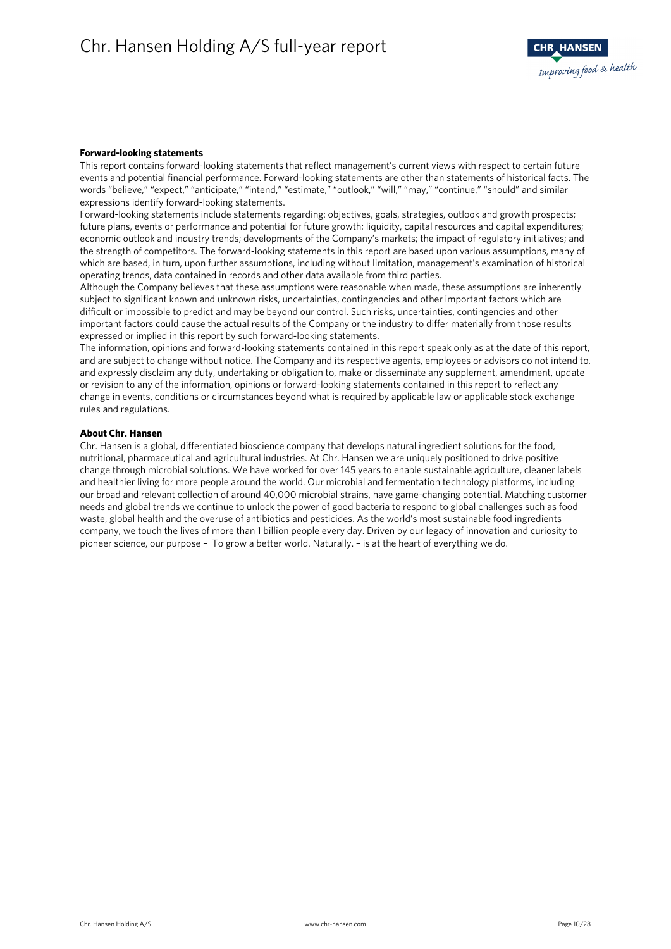#### **Forward-looking statements**

This report contains forward-looking statements that reflect management's current views with respect to certain future events and potential financial performance. Forward-looking statements are other than statements of historical facts. The words "believe," "expect," "anticipate," "intend," "estimate," "outlook," "will," "may," "continue," "should" and similar expressions identify forward-looking statements.

Forward-looking statements include statements regarding: objectives, goals, strategies, outlook and growth prospects; future plans, events or performance and potential for future growth; liquidity, capital resources and capital expenditures; economic outlook and industry trends; developments of the Company's markets; the impact of regulatory initiatives; and the strength of competitors. The forward-looking statements in this report are based upon various assumptions, many of which are based, in turn, upon further assumptions, including without limitation, management's examination of historical operating trends, data contained in records and other data available from third parties.

Although the Company believes that these assumptions were reasonable when made, these assumptions are inherently subject to significant known and unknown risks, uncertainties, contingencies and other important factors which are difficult or impossible to predict and may be beyond our control. Such risks, uncertainties, contingencies and other important factors could cause the actual results of the Company or the industry to differ materially from those results expressed or implied in this report by such forward-looking statements.

The information, opinions and forward-looking statements contained in this report speak only as at the date of this report, and are subject to change without notice. The Company and its respective agents, employees or advisors do not intend to, and expressly disclaim any duty, undertaking or obligation to, make or disseminate any supplement, amendment, update or revision to any of the information, opinions or forward-looking statements contained in this report to reflect any change in events, conditions or circumstances beyond what is required by applicable law or applicable stock exchange rules and regulations.

#### **About Chr. Hansen**

Chr. Hansen is a global, differentiated bioscience company that develops natural ingredient solutions for the food, nutritional, pharmaceutical and agricultural industries. At Chr. Hansen we are uniquely positioned to drive positive change through microbial solutions. We have worked for over 145 years to enable sustainable agriculture, cleaner labels and healthier living for more people around the world. Our microbial and fermentation technology platforms, including our broad and relevant collection of around 40,000 microbial strains, have game-changing potential. Matching customer needs and global trends we continue to unlock the power of good bacteria to respond to global challenges such as food waste, global health and the overuse of antibiotics and pesticides. As the world's most sustainable food ingredients company, we touch the lives of more than 1 billion people every day. Driven by our legacy of innovation and curiosity to pioneer science, our purpose – To grow a better world. Naturally. – is at the heart of everything we do.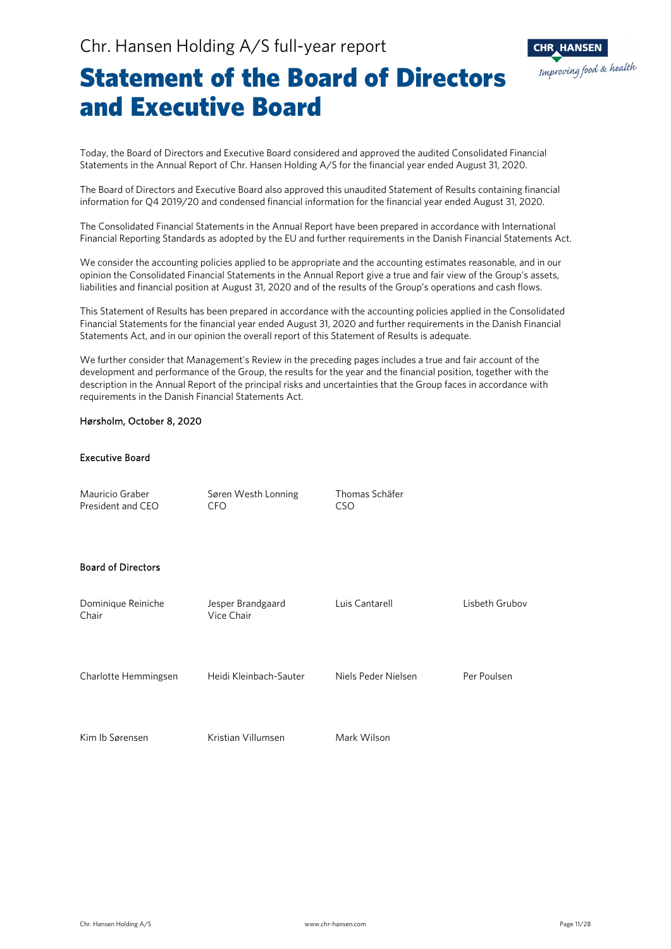

### Statement of the Board of Directors and Executive Board

Today, the Board of Directors and Executive Board considered and approved the audited Consolidated Financial Statements in the Annual Report of Chr. Hansen Holding A/S for the financial year ended August 31, 2020.

The Board of Directors and Executive Board also approved this unaudited Statement of Results containing financial information for Q4 2019/20 and condensed financial information for the financial year ended August 31, 2020.

The Consolidated Financial Statements in the Annual Report have been prepared in accordance with International Financial Reporting Standards as adopted by the EU and further requirements in the Danish Financial Statements Act.

We consider the accounting policies applied to be appropriate and the accounting estimates reasonable, and in our opinion the Consolidated Financial Statements in the Annual Report give a true and fair view of the Group's assets, liabilities and financial position at August 31, 2020 and of the results of the Group's operations and cash flows.

This Statement of Results has been prepared in accordance with the accounting policies applied in the Consolidated Financial Statements for the financial year ended August 31, 2020 and further requirements in the Danish Financial Statements Act, and in our opinion the overall report of this Statement of Results is adequate.

We further consider that Management's Review in the preceding pages includes a true and fair account of the development and performance of the Group, the results for the year and the financial position, together with the description in the Annual Report of the principal risks and uncertainties that the Group faces in accordance with requirements in the Danish Financial Statements Act.

#### Hørsholm, October 8, 2020

#### Executive Board

Mauricio Graber Søren Westh Lonning Thomas Schäfer President and CEO CFO CSO

#### Board of Directors

| Dominique Reiniche<br>Chair | Jesper Brandgaard<br>Vice Chair | Luis Cantarell      | Lisbeth Grubov |
|-----------------------------|---------------------------------|---------------------|----------------|
| Charlotte Hemmingsen        | Heidi Kleinbach-Sauter          | Niels Peder Nielsen | Per Poulsen    |
| Kim Ib Sørensen             | Kristian Villumsen              | Mark Wilson         |                |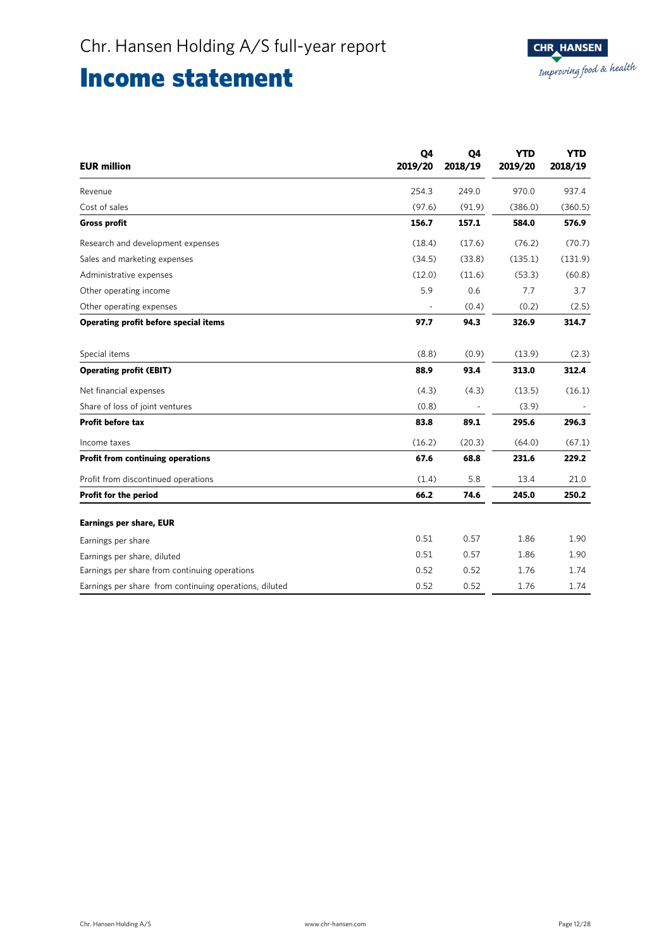### Income statement

| <b>EUR million</b>                                     | Q4<br>2019/20 | Q4<br>2018/19 | <b>YTD</b><br>2019/20 | <b>YTD</b><br>2018/19 |
|--------------------------------------------------------|---------------|---------------|-----------------------|-----------------------|
| Revenue                                                | 254.3         | 249.0         | 970.0                 | 937.4                 |
| Cost of sales                                          | (97.6)        | (91.9)        | (386.0)               | (360.5)               |
| <b>Gross profit</b>                                    | 156.7         | 157.1         | 584.0                 | 576.9                 |
| Research and development expenses                      | (18.4)        | (17.6)        | (76.2)                | (70.7)                |
| Sales and marketing expenses                           | (34.5)        | (33.8)        | (135.1)               | (131.9)               |
| Administrative expenses                                | (12.0)        | (11.6)        | (53.3)                | (60.8)                |
| Other operating income                                 | 5.9           | 0.6           | 7.7                   | 3.7                   |
| Other operating expenses                               |               | (0.4)         | (0.2)                 | (2.5)                 |
| Operating profit before special items                  | 97.7          | 94.3          | 326.9                 | 314.7                 |
| Special items                                          | (8.8)         | (0.9)         | (13.9)                | (2.3)                 |
| <b>Operating profit (EBIT)</b>                         | 88.9          | 93.4          | 313.0                 | 312.4                 |
| Net financial expenses                                 | (4.3)         | (4.3)         | (13.5)                | (16.1)                |
| Share of loss of joint ventures                        | (0.8)         |               | (3.9)                 |                       |
| Profit before tax                                      | 83.8          | 89.1          | 295.6                 | 296.3                 |
| Income taxes                                           | (16.2)        | (20.3)        | (64.0)                | (67.1)                |
| <b>Profit from continuing operations</b>               | 67.6          | 68.8          | 231.6                 | 229.2                 |
| Profit from discontinued operations                    | (1.4)         | 5.8           | 13.4                  | 21.0                  |
| Profit for the period                                  | 66.2          | 74.6          | 245.0                 | 250.2                 |
| <b>Earnings per share, EUR</b>                         |               |               |                       |                       |
| Earnings per share                                     | 0.51          | 0.57          | 1.86                  | 1.90                  |
| Earnings per share, diluted                            | 0.51          | 0.57          | 1.86                  | 1.90                  |
| Earnings per share from continuing operations          | 0.52          | 0.52          | 1.76                  | 1.74                  |
| Earnings per share from continuing operations, diluted | 0.52          | 0.52          | 1.76                  | 1.74                  |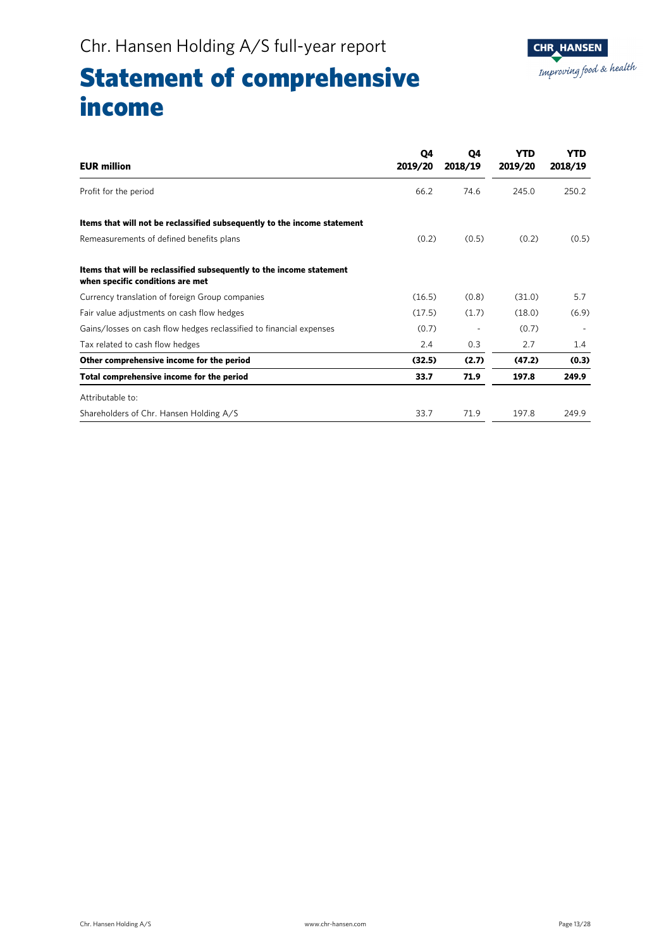# Statement of comprehensive income

| <b>EUR million</b>                                                                                       | 04<br>2019/20 | Q4<br>2018/19 | YTD<br>2019/20 | <b>YTD</b><br>2018/19 |
|----------------------------------------------------------------------------------------------------------|---------------|---------------|----------------|-----------------------|
| Profit for the period                                                                                    | 66.2          | 74.6          | 245.0          | 250.2                 |
| Items that will not be reclassified subsequently to the income statement                                 |               |               |                |                       |
| Remeasurements of defined benefits plans                                                                 | (0.2)         | (0.5)         | (0.2)          | (0.5)                 |
| Items that will be reclassified subsequently to the income statement<br>when specific conditions are met |               |               |                |                       |
| Currency translation of foreign Group companies                                                          | (16.5)        | (0.8)         | (31.0)         | 5.7                   |
| Fair value adjustments on cash flow hedges                                                               | (17.5)        | (1.7)         | (18.0)         | (6.9)                 |
| Gains/losses on cash flow hedges reclassified to financial expenses                                      | (0.7)         |               | (0.7)          |                       |
| Tax related to cash flow hedges                                                                          | 2.4           | 0.3           | 2.7            | 1.4                   |
| Other comprehensive income for the period                                                                | (32.5)        | (2.7)         | (47.2)         | (0.3)                 |
| Total comprehensive income for the period                                                                | 33.7          | 71.9          | 197.8          | 249.9                 |
| Attributable to:                                                                                         |               |               |                |                       |
| Shareholders of Chr. Hansen Holding A/S                                                                  | 33.7          | 71.9          | 197.8          | 249.9                 |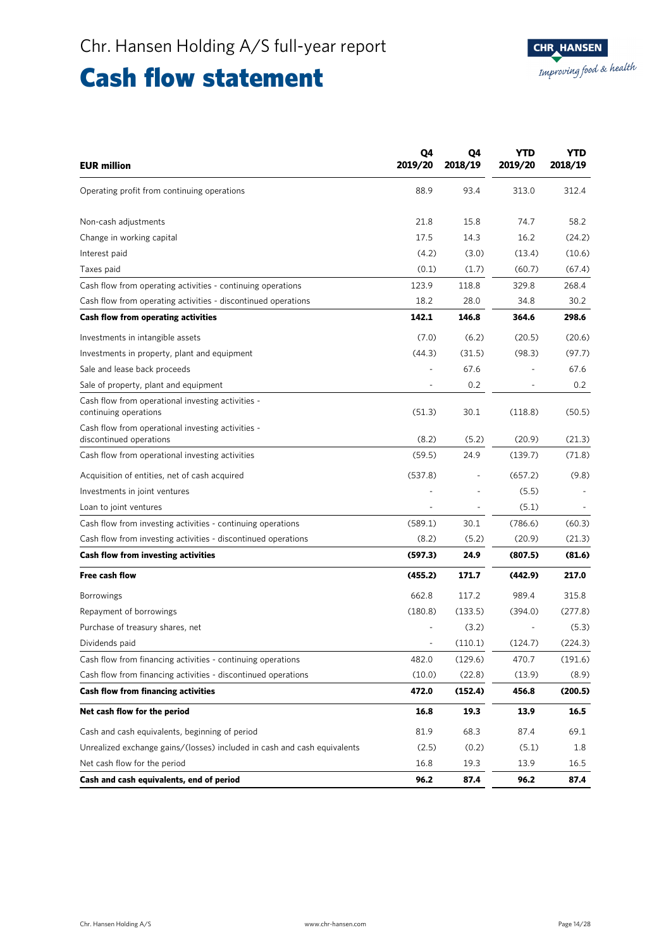## Cash flow statement

| <b>EUR million</b>                                                           | Q4<br>2019/20 | Q4<br>2018/19 | YTD<br>2019/20 | YTD<br>2018/19 |
|------------------------------------------------------------------------------|---------------|---------------|----------------|----------------|
| Operating profit from continuing operations                                  | 88.9          | 93.4          | 313.0          | 312.4          |
| Non-cash adjustments                                                         | 21.8          | 15.8          | 74.7           | 58.2           |
| Change in working capital                                                    | 17.5          | 14.3          | 16.2           | (24.2)         |
| Interest paid                                                                | (4.2)         | (3.0)         | (13.4)         | (10.6)         |
| Taxes paid                                                                   | (0.1)         | (1.7)         | (60.7)         | (67.4)         |
| Cash flow from operating activities - continuing operations                  | 123.9         | 118.8         | 329.8          | 268.4          |
| Cash flow from operating activities - discontinued operations                | 18.2          | 28.0          | 34.8           | 30.2           |
| Cash flow from operating activities                                          | 142.1         | 146.8         | 364.6          | 298.6          |
| Investments in intangible assets                                             | (7.0)         | (6.2)         | (20.5)         | (20.6)         |
| Investments in property, plant and equipment                                 | (44.3)        | (31.5)        | (98.3)         | (97.7)         |
| Sale and lease back proceeds                                                 | ÷,            | 67.6          |                | 67.6           |
| Sale of property, plant and equipment                                        |               | 0.2           |                | 0.2            |
| Cash flow from operational investing activities -<br>continuing operations   | (51.3)        | 30.1          | (118.8)        | (50.5)         |
| Cash flow from operational investing activities -<br>discontinued operations | (8.2)         | (5.2)         | (20.9)         | (21.3)         |
| Cash flow from operational investing activities                              | (59.5)        | 24.9          | (139.7)        | (71.8)         |
| Acquisition of entities, net of cash acquired                                | (537.8)       |               | (657.2)        | (9.8)          |
| Investments in joint ventures                                                |               |               | (5.5)          |                |
| Loan to joint ventures                                                       |               |               | (5.1)          |                |
| Cash flow from investing activities - continuing operations                  | (589.1)       | 30.1          | (786.6)        | (60.3)         |
| Cash flow from investing activities - discontinued operations                | (8.2)         | (5.2)         | (20.9)         | (21.3)         |
| Cash flow from investing activities                                          | (597.3)       | 24.9          | (807.5)        | (81.6)         |
| Free cash flow                                                               | (455.2)       | 171.7         | (442.9)        | 217.0          |
| <b>Borrowings</b>                                                            | 662.8         | 117.2         | 989.4          | 315.8          |
| Repayment of borrowings                                                      | (180.8)       | (133.5)       | (394.0)        | (277.8)        |
| Purchase of treasury shares, net                                             |               | (3.2)         |                | (5.3)          |
| Dividends paid                                                               |               | (110.1)       | (124.7)        | (224.3)        |
| Cash flow from financing activities - continuing operations                  | 482.0         | (129.6)       | 470.7          | (191.6)        |
| Cash flow from financing activities - discontinued operations                | (10.0)        | (22.8)        | (13.9)         | (8.9)          |
| <b>Cash flow from financing activities</b>                                   | 472.0         | (152.4)       | 456.8          | (200.5)        |
| Net cash flow for the period                                                 | 16.8          | 19.3          | 13.9           | 16.5           |
| Cash and cash equivalents, beginning of period                               | 81.9          | 68.3          | 87.4           | 69.1           |
| Unrealized exchange gains/(losses) included in cash and cash equivalents     | (2.5)         | (0.2)         | (5.1)          | 1.8            |
| Net cash flow for the period                                                 | 16.8          | 19.3          | 13.9           | 16.5           |
| Cash and cash equivalents, end of period                                     | 96.2          | 87.4          | 96.2           | 87.4           |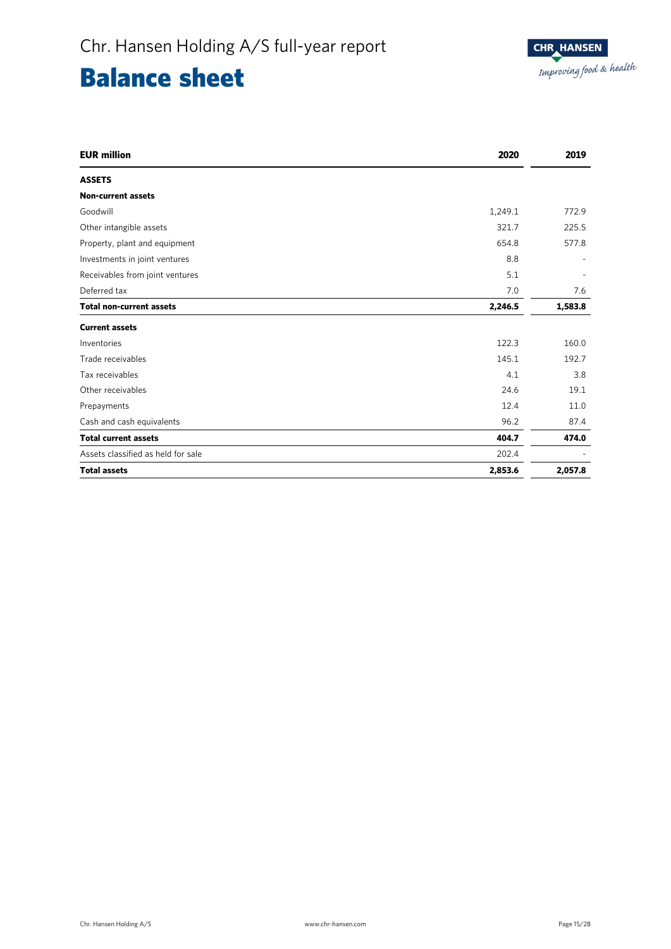# Balance sheet

| <b>EUR million</b>                 | 2020    | 2019    |
|------------------------------------|---------|---------|
| <b>ASSETS</b>                      |         |         |
| <b>Non-current assets</b>          |         |         |
| Goodwill                           | 1,249.1 | 772.9   |
| Other intangible assets            | 321.7   | 225.5   |
| Property, plant and equipment      | 654.8   | 577.8   |
| Investments in joint ventures      | 8.8     |         |
| Receivables from joint ventures    | 5.1     |         |
| Deferred tax                       | 7.0     | 7.6     |
| <b>Total non-current assets</b>    | 2,246.5 | 1,583.8 |
| <b>Current assets</b>              |         |         |
| Inventories                        | 122.3   | 160.0   |
| Trade receivables                  | 145.1   | 192.7   |
| Tax receivables                    | 4.1     | 3.8     |
| Other receivables                  | 24.6    | 19.1    |
| Prepayments                        | 12.4    | 11.0    |
| Cash and cash equivalents          | 96.2    | 87.4    |
| <b>Total current assets</b>        | 404.7   | 474.0   |
| Assets classified as held for sale | 202.4   |         |
| <b>Total assets</b>                | 2,853.6 | 2,057.8 |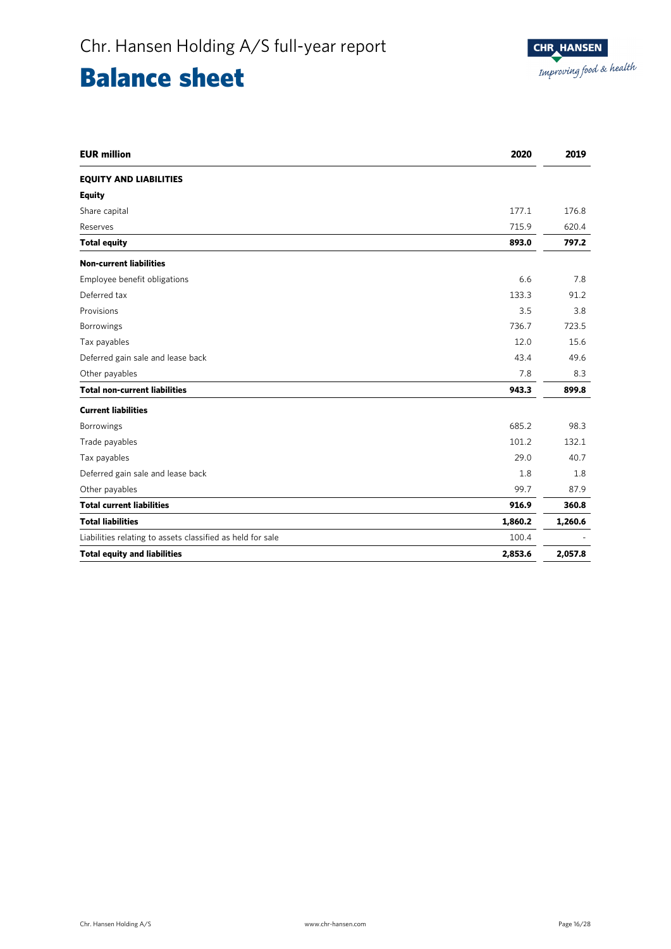# Balance sheet

| <b>EUR million</b>                                         | 2020    | 2019    |
|------------------------------------------------------------|---------|---------|
| <b>EQUITY AND LIABILITIES</b>                              |         |         |
| <b>Equity</b>                                              |         |         |
| Share capital                                              | 177.1   | 176.8   |
| Reserves                                                   | 715.9   | 620.4   |
| <b>Total equity</b>                                        | 893.0   | 797.2   |
| <b>Non-current liabilities</b>                             |         |         |
| Employee benefit obligations                               | 6.6     | 7.8     |
| Deferred tax                                               | 133.3   | 91.2    |
| Provisions                                                 | 3.5     | 3.8     |
| Borrowings                                                 | 736.7   | 723.5   |
| Tax payables                                               | 12.0    | 15.6    |
| Deferred gain sale and lease back                          | 43.4    | 49.6    |
| Other payables                                             | 7.8     | 8.3     |
| <b>Total non-current liabilities</b>                       | 943.3   | 899.8   |
| <b>Current liabilities</b>                                 |         |         |
| Borrowings                                                 | 685.2   | 98.3    |
| Trade payables                                             | 101.2   | 132.1   |
| Tax payables                                               | 29.0    | 40.7    |
| Deferred gain sale and lease back                          | 1.8     | 1.8     |
| Other payables                                             | 99.7    | 87.9    |
| <b>Total current liabilities</b>                           | 916.9   | 360.8   |
| <b>Total liabilities</b>                                   | 1,860.2 | 1,260.6 |
| Liabilities relating to assets classified as held for sale | 100.4   |         |
| <b>Total equity and liabilities</b>                        | 2,853.6 | 2,057.8 |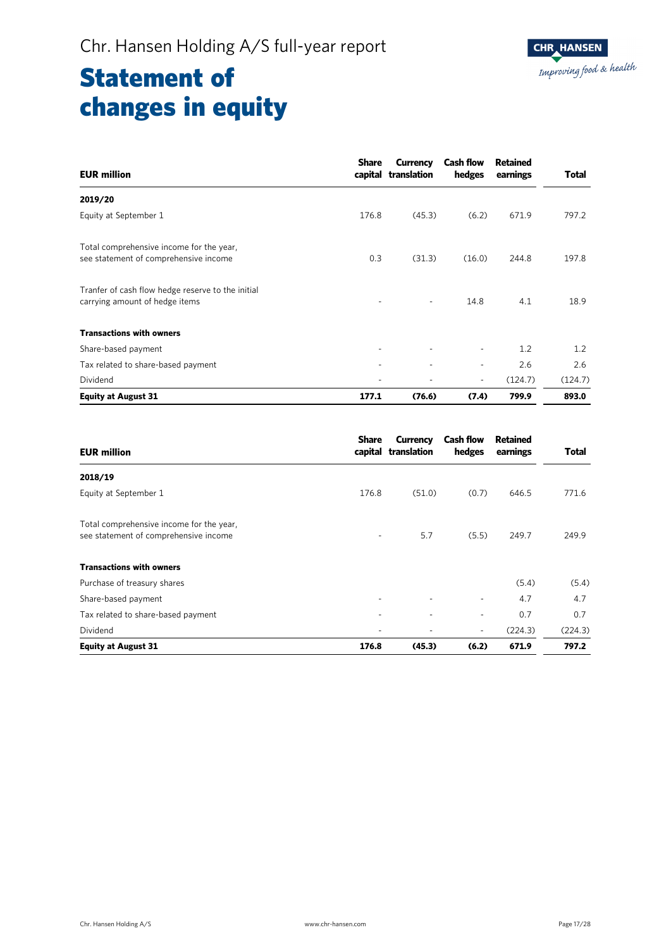| <b>EUR million</b>                                                                  | <b>Share</b> | <b>Currency</b><br>capital translation | <b>Cash flow</b><br>hedges | <b>Retained</b><br>earnings | <b>Total</b> |
|-------------------------------------------------------------------------------------|--------------|----------------------------------------|----------------------------|-----------------------------|--------------|
| 2019/20                                                                             |              |                                        |                            |                             |              |
| Equity at September 1                                                               | 176.8        | (45.3)                                 | (6.2)                      | 671.9                       | 797.2        |
| Total comprehensive income for the year,<br>see statement of comprehensive income   | 0.3          | (31.3)                                 | (16.0)                     | 244.8                       | 197.8        |
| Tranfer of cash flow hedge reserve to the initial<br>carrying amount of hedge items |              |                                        | 14.8                       | 4.1                         | 18.9         |
| <b>Transactions with owners</b>                                                     |              |                                        |                            |                             |              |
| Share-based payment                                                                 |              | $\overline{\phantom{a}}$               | $\overline{\phantom{a}}$   | 1.2                         | 1.2          |
| Tax related to share-based payment                                                  |              | ٠                                      | $\overline{\phantom{a}}$   | 2.6                         | 2.6          |
| Dividend                                                                            |              |                                        | $\overline{\phantom{a}}$   | (124.7)                     | (124.7)      |
| <b>Equity at August 31</b>                                                          | 177.1        | (76.6)                                 | (7.4)                      | 799.9                       | 893.0        |

| <b>EUR million</b>                                                                | <b>Share</b> | Currency<br>capital translation | <b>Cash flow</b><br>hedges | Retained<br>earnings | Total   |
|-----------------------------------------------------------------------------------|--------------|---------------------------------|----------------------------|----------------------|---------|
| 2018/19                                                                           |              |                                 |                            |                      |         |
| Equity at September 1                                                             | 176.8        | (51.0)                          | (0.7)                      | 646.5                | 771.6   |
| Total comprehensive income for the year,<br>see statement of comprehensive income |              | 5.7                             | (5.5)                      | 249.7                | 249.9   |
| <b>Transactions with owners</b>                                                   |              |                                 |                            |                      |         |
| Purchase of treasury shares                                                       |              |                                 |                            | (5.4)                | (5.4)   |
| Share-based payment                                                               |              | ۰                               | ٠                          | 4.7                  | 4.7     |
| Tax related to share-based payment                                                |              | ٠                               | $\overline{\phantom{a}}$   | 0.7                  | 0.7     |
| Dividend                                                                          |              |                                 | $\overline{\phantom{a}}$   | (224.3)              | (224.3) |
| <b>Equity at August 31</b>                                                        | 176.8        | (45.3)                          | (6.2)                      | 671.9                | 797.2   |

Ī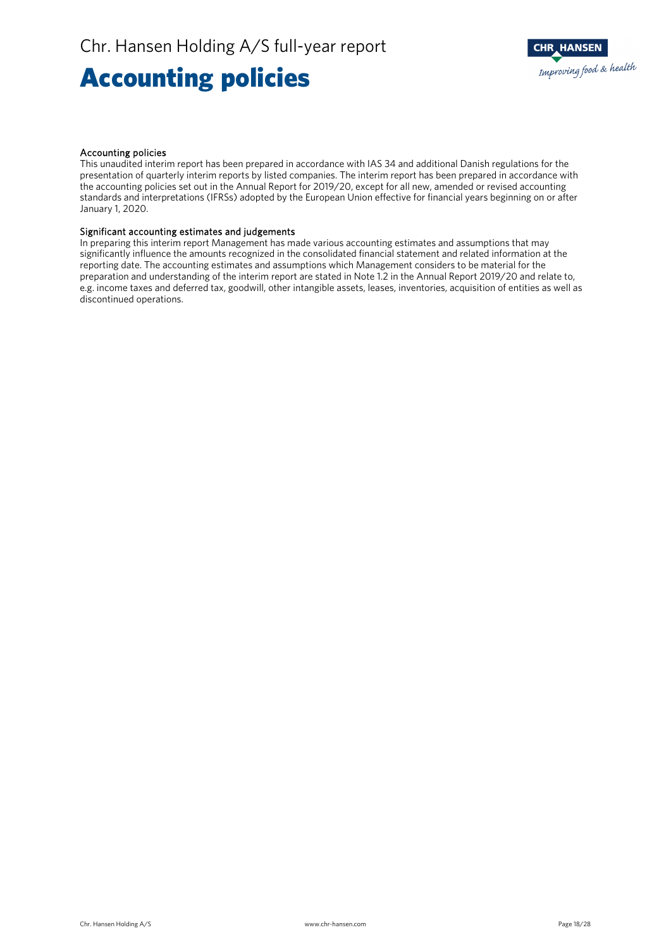# Accounting policies

#### Accounting policies

This unaudited interim report has been prepared in accordance with IAS 34 and additional Danish regulations for the presentation of quarterly interim reports by listed companies. The interim report has been prepared in accordance with the accounting policies set out in the Annual Report for 2019/20, except for all new, amended or revised accounting standards and interpretations (IFRSs) adopted by the European Union effective for financial years beginning on or after January 1, 2020.

#### Significant accounting estimates and judgements

In preparing this interim report Management has made various accounting estimates and assumptions that may significantly influence the amounts recognized in the consolidated financial statement and related information at the reporting date. The accounting estimates and assumptions which Management considers to be material for the preparation and understanding of the interim report are stated in Note 1.2 in the Annual Report 2019/20 and relate to, e.g. income taxes and deferred tax, goodwill, other intangible assets, leases, inventories, acquisition of entities as well as discontinued operations.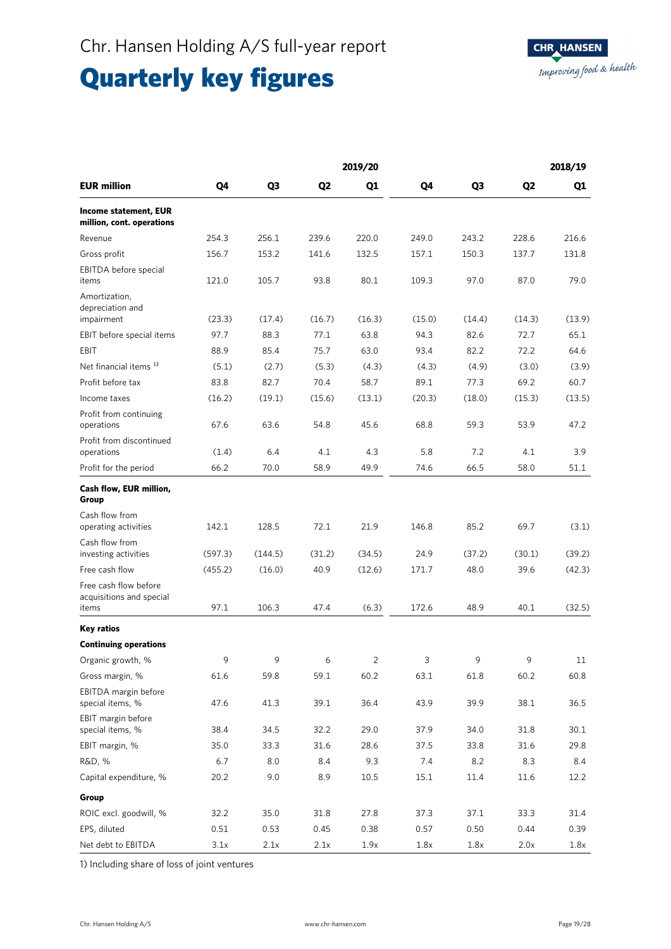# Quarterly key figures

|                                                            |         |                |                | 2019/20 |        |        |                | 2018/19 |
|------------------------------------------------------------|---------|----------------|----------------|---------|--------|--------|----------------|---------|
| <b>EUR million</b>                                         | Q4      | Q <sub>3</sub> | Q <sub>2</sub> | Q1      | Q4     | Q3     | Q <sub>2</sub> | Q1      |
| <b>Income statement, EUR</b><br>million, cont. operations  |         |                |                |         |        |        |                |         |
| Revenue                                                    | 254.3   | 256.1          | 239.6          | 220.0   | 249.0  | 243.2  | 228.6          | 216.6   |
| Gross profit                                               | 156.7   | 153.2          | 141.6          | 132.5   | 157.1  | 150.3  | 137.7          | 131.8   |
| EBITDA before special<br>items                             | 121.0   | 105.7          | 93.8           | 80.1    | 109.3  | 97.0   | 87.0           | 79.0    |
| Amortization,<br>depreciation and<br>impairment            | (23.3)  | (17.4)         | (16.7)         | (16.3)  | (15.0) | (14.4) | (14.3)         | (13.9)  |
| EBIT before special items                                  | 97.7    | 88.3           | 77.1           | 63.8    | 94.3   | 82.6   | 72.7           | 65.1    |
| EBIT                                                       | 88.9    | 85.4           | 75.7           | 63.0    | 93.4   | 82.2   | 72.2           | 64.6    |
| Net financial items <sup>1)</sup>                          | (5.1)   | (2.7)          | (5.3)          | (4.3)   | (4.3)  | (4.9)  | (3.0)          | (3.9)   |
| Profit before tax                                          | 83.8    | 82.7           | 70.4           | 58.7    | 89.1   | 77.3   | 69.2           | 60.7    |
| Income taxes                                               | (16.2)  | (19.1)         | (15.6)         | (13.1)  | (20.3) | (18.0) | (15.3)         | (13.5)  |
| Profit from continuing<br>operations                       | 67.6    | 63.6           | 54.8           | 45.6    | 68.8   | 59.3   | 53.9           | 47.2    |
| Profit from discontinued<br>operations                     | (1.4)   | 6.4            | 4.1            | 4.3     | 5.8    | 7.2    | 4.1            | 3.9     |
| Profit for the period                                      | 66.2    | 70.0           | 58.9           | 49.9    | 74.6   | 66.5   | 58.0           | 51.1    |
| Cash flow, EUR million,<br>Group                           |         |                |                |         |        |        |                |         |
| Cash flow from<br>operating activities                     | 142.1   | 128.5          | 72.1           | 21.9    | 146.8  | 85.2   | 69.7           | (3.1)   |
| Cash flow from<br>investing activities                     | (597.3) | (144.5)        | (31.2)         | (34.5)  | 24.9   | (37.2) | (30.1)         | (39.2)  |
| Free cash flow                                             | (455.2) | (16.0)         | 40.9           | (12.6)  | 171.7  | 48.0   | 39.6           | (42.3)  |
| Free cash flow before<br>acquisitions and special<br>items | 97.1    | 106.3          | 47.4           | (6.3)   | 172.6  | 48.9   | 40.1           | (32.5)  |
| <b>Key ratios</b>                                          |         |                |                |         |        |        |                |         |
| <b>Continuing operations</b>                               |         |                |                |         |        |        |                |         |
| Organic growth, %                                          | 9       | 9              | 6              | 2       | 3      | 9      | 9              | 11      |
| Gross margin, %                                            | 61.6    | 59.8           | 59.1           | 60.2    | 63.1   | 61.8   | 60.2           | 60.8    |
| EBITDA margin before<br>special items, %                   | 47.6    | 41.3           | 39.1           | 36.4    | 43.9   | 39.9   | 38.1           | 36.5    |
| EBIT margin before<br>special items, %                     | 38.4    | 34.5           | 32.2           | 29.0    | 37.9   | 34.0   | 31.8           | 30.1    |
| EBIT margin, %                                             | 35.0    | 33.3           | 31.6           | 28.6    | 37.5   | 33.8   | 31.6           | 29.8    |
| R&D, %                                                     | 6.7     | 8.0            | 8.4            | 9.3     | 7.4    | 8.2    | 8.3            | 8.4     |
| Capital expenditure, %                                     | 20.2    | 9.0            | 8.9            | 10.5    | 15.1   | 11.4   | 11.6           | 12.2    |
| Group                                                      |         |                |                |         |        |        |                |         |
| ROIC excl. goodwill, %                                     | 32.2    | 35.0           | 31.8           | 27.8    | 37.3   | 37.1   | 33.3           | 31.4    |
| EPS, diluted                                               | 0.51    | 0.53           | 0.45           | 0.38    | 0.57   | 0.50   | 0.44           | 0.39    |
| Net debt to EBITDA                                         | 3.1x    | 2.1x           | 2.1x           | 1.9x    | 1.8x   | 1.8x   | 2.0x           | 1.8x    |

1) Including share of loss of joint ventures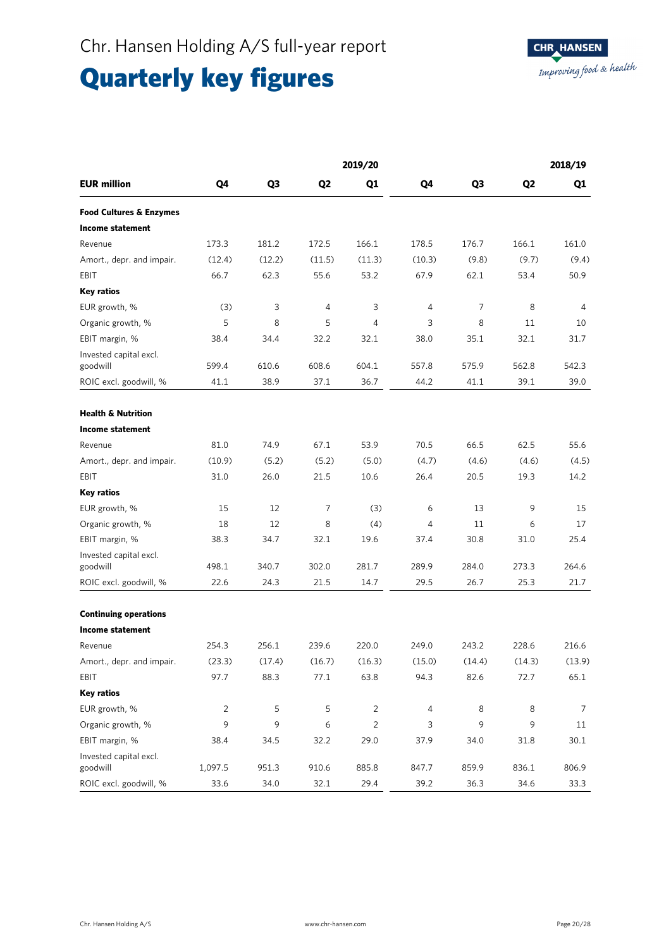# Quarterly key figures

|                                    |                |                |                | 2019/20        |                |        |                | 2018/19 |
|------------------------------------|----------------|----------------|----------------|----------------|----------------|--------|----------------|---------|
| <b>EUR million</b>                 | Q4             | Q <sub>3</sub> | Q <sub>2</sub> | Q1             | Q4             | Q3     | Q <sub>2</sub> | Q1      |
| <b>Food Cultures &amp; Enzymes</b> |                |                |                |                |                |        |                |         |
| <b>Income statement</b>            |                |                |                |                |                |        |                |         |
| Revenue                            | 173.3          | 181.2          | 172.5          | 166.1          | 178.5          | 176.7  | 166.1          | 161.0   |
| Amort., depr. and impair.          | (12.4)         | (12.2)         | (11.5)         | (11.3)         | (10.3)         | (9.8)  | (9.7)          | (9.4)   |
| EBIT                               | 66.7           | 62.3           | 55.6           | 53.2           | 67.9           | 62.1   | 53.4           | 50.9    |
| <b>Key ratios</b>                  |                |                |                |                |                |        |                |         |
| EUR growth, %                      | (3)            | 3              | 4              | 3              | 4              | 7      | 8              | 4       |
| Organic growth, %                  | 5              | 8              | 5              | $\overline{4}$ | 3              | 8      | 11             | 10      |
| EBIT margin, %                     | 38.4           | 34.4           | 32.2           | 32.1           | 38.0           | 35.1   | 32.1           | 31.7    |
| Invested capital excl.<br>goodwill | 599.4          | 610.6          | 608.6          | 604.1          | 557.8          | 575.9  | 562.8          | 542.3   |
| ROIC excl. goodwill, %             | 41.1           | 38.9           | 37.1           | 36.7           | 44.2           | 41.1   | 39.1           | 39.0    |
|                                    |                |                |                |                |                |        |                |         |
| <b>Health &amp; Nutrition</b>      |                |                |                |                |                |        |                |         |
| <b>Income statement</b>            |                |                |                |                |                |        |                |         |
| Revenue                            | 81.0           | 74.9           | 67.1           | 53.9           | 70.5           | 66.5   | 62.5           | 55.6    |
| Amort., depr. and impair.          | (10.9)         | (5.2)          | (5.2)          | (5.0)          | (4.7)          | (4.6)  | (4.6)          | (4.5)   |
| EBIT                               | 31.0           | 26.0           | 21.5           | 10.6           | 26.4           | 20.5   | 19.3           | 14.2    |
| <b>Key ratios</b>                  |                |                |                |                |                |        |                |         |
| EUR growth, %                      | 15             | 12             | 7              | (3)            | 6              | 13     | 9              | 15      |
| Organic growth, %                  | 18             | 12             | 8              | (4)            | $\overline{4}$ | 11     | 6              | 17      |
| EBIT margin, %                     | 38.3           | 34.7           | 32.1           | 19.6           | 37.4           | 30.8   | 31.0           | 25.4    |
| Invested capital excl.<br>goodwill | 498.1          | 340.7          | 302.0          | 281.7          | 289.9          | 284.0  | 273.3          | 264.6   |
| ROIC excl. goodwill, %             | 22.6           | 24.3           | 21.5           | 14.7           | 29.5           | 26.7   | 25.3           | 21.7    |
|                                    |                |                |                |                |                |        |                |         |
| <b>Continuing operations</b>       |                |                |                |                |                |        |                |         |
| <b>Income statement</b>            |                |                |                |                |                |        |                |         |
| Revenue                            | 254.3          | 256.1          | 239.6          | 220.0          | 249.0          | 243.2  | 228.6          | 216.6   |
| Amort., depr. and impair.          | (23.3)         | (17.4)         | (16.7)         | (16.3)         | (15.0)         | (14.4) | (14.3)         | (13.9)  |
| EBIT                               | 97.7           | 88.3           | 77.1           | 63.8           | 94.3           | 82.6   | 72.7           | 65.1    |
| <b>Key ratios</b>                  |                |                |                |                |                |        |                |         |
| EUR growth, %                      | $\overline{2}$ | 5              | 5              | $\overline{2}$ | $\overline{4}$ | 8      | 8              | 7       |
| Organic growth, %                  | 9              | 9              | 6              | $\overline{2}$ | 3              | 9      | 9              | 11      |
| EBIT margin, %                     | 38.4           | 34.5           | 32.2           | 29.0           | 37.9           | 34.0   | 31.8           | 30.1    |
| Invested capital excl.<br>goodwill | 1,097.5        | 951.3          | 910.6          | 885.8          | 847.7          | 859.9  | 836.1          | 806.9   |
| ROIC excl. goodwill, %             | 33.6           | 34.0           | 32.1           | 29.4           | 39.2           | 36.3   | 34.6           | 33.3    |

Ī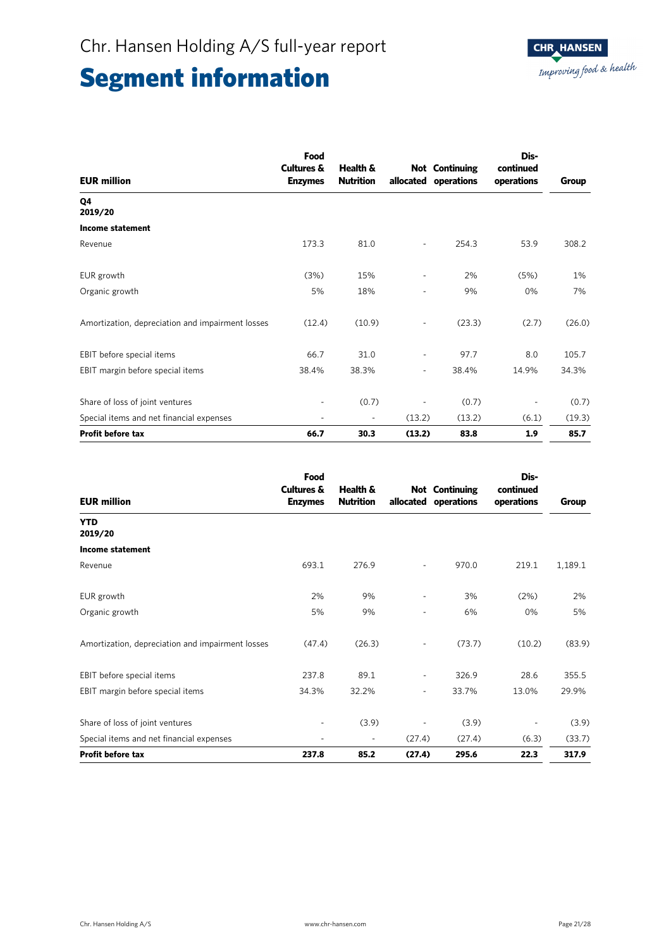| <b>EUR million</b>                               | Food<br><b>Cultures &amp;</b><br><b>Enzymes</b> | Health &<br><b>Nutrition</b> |                          | <b>Not</b> Continuing<br>allocated operations | Dis-<br>continued<br>operations | Group  |
|--------------------------------------------------|-------------------------------------------------|------------------------------|--------------------------|-----------------------------------------------|---------------------------------|--------|
| Q4<br>2019/20                                    |                                                 |                              |                          |                                               |                                 |        |
| Income statement                                 |                                                 |                              |                          |                                               |                                 |        |
| Revenue                                          | 173.3                                           | 81.0                         | $\overline{\phantom{0}}$ | 254.3                                         | 53.9                            | 308.2  |
| EUR growth                                       | (3%)                                            | 15%                          | $\overline{\phantom{0}}$ | 2%                                            | (5%)                            | 1%     |
| Organic growth                                   | 5%                                              | 18%                          | $\overline{\phantom{0}}$ | 9%                                            | 0%                              | 7%     |
| Amortization, depreciation and impairment losses | (12.4)                                          | (10.9)                       | ٠                        | (23.3)                                        | (2.7)                           | (26.0) |
| EBIT before special items                        | 66.7                                            | 31.0                         | $\overline{\phantom{a}}$ | 97.7                                          | 8.0                             | 105.7  |
| EBIT margin before special items                 | 38.4%                                           | 38.3%                        | $\overline{\phantom{a}}$ | 38.4%                                         | 14.9%                           | 34.3%  |
| Share of loss of joint ventures                  | ٠                                               | (0.7)                        | $\overline{a}$           | (0.7)                                         | $\overline{\phantom{a}}$        | (0.7)  |
| Special items and net financial expenses         | $\overline{\phantom{m}}$                        | $\overline{\phantom{a}}$     | (13.2)                   | (13.2)                                        | (6.1)                           | (19.3) |
| <b>Profit before tax</b>                         | 66.7                                            | 30.3                         | (13.2)                   | 83.8                                          | 1.9                             | 85.7   |

| <b>EUR million</b>                               | Food<br><b>Cultures &amp;</b><br><b>Enzymes</b> | Health &<br><b>Nutrition</b> | allocated                | <b>Not</b> Continuing<br>operations | Dis-<br>continued<br>operations | Group   |
|--------------------------------------------------|-------------------------------------------------|------------------------------|--------------------------|-------------------------------------|---------------------------------|---------|
| <b>YTD</b><br>2019/20                            |                                                 |                              |                          |                                     |                                 |         |
| Income statement                                 |                                                 |                              |                          |                                     |                                 |         |
| Revenue                                          | 693.1                                           | 276.9                        | $\overline{\phantom{a}}$ | 970.0                               | 219.1                           | 1,189.1 |
| EUR growth                                       | 2%                                              | 9%                           | $\overline{\phantom{a}}$ | 3%                                  | (2%)                            | 2%      |
| Organic growth                                   | 5%                                              | 9%                           | $\overline{\phantom{a}}$ | 6%                                  | 0%                              | 5%      |
| Amortization, depreciation and impairment losses | (47.4)                                          | (26.3)                       | $\overline{\phantom{a}}$ | (73.7)                              | (10.2)                          | (83.9)  |
| EBIT before special items                        | 237.8                                           | 89.1                         | ٠                        | 326.9                               | 28.6                            | 355.5   |
| EBIT margin before special items                 | 34.3%                                           | 32.2%                        | $\overline{\phantom{a}}$ | 33.7%                               | 13.0%                           | 29.9%   |
| Share of loss of joint ventures                  |                                                 | (3.9)                        | $\overline{\phantom{a}}$ | (3.9)                               | $\overline{\phantom{a}}$        | (3.9)   |
| Special items and net financial expenses         |                                                 | $\sim$                       | (27.4)                   | (27.4)                              | (6.3)                           | (33.7)  |
| <b>Profit before tax</b>                         | 237.8                                           | 85.2                         | (27.4)                   | 295.6                               | 22.3                            | 317.9   |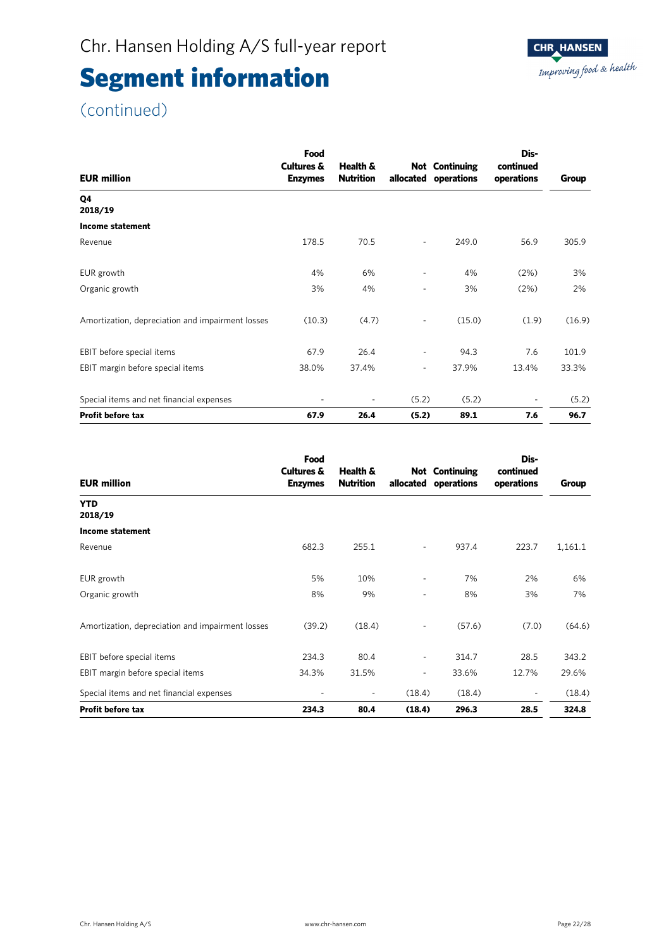### (continued)

| <b>EUR million</b>                               | Food<br><b>Cultures &amp;</b><br><b>Enzymes</b> | Health &<br><b>Nutrition</b> | allocated                | <b>Not Continuing</b><br>operations | Dis-<br>continued<br>operations | Group  |
|--------------------------------------------------|-------------------------------------------------|------------------------------|--------------------------|-------------------------------------|---------------------------------|--------|
| Q4<br>2018/19                                    |                                                 |                              |                          |                                     |                                 |        |
| <b>Income statement</b>                          |                                                 |                              |                          |                                     |                                 |        |
| Revenue                                          | 178.5                                           | 70.5                         | ۰                        | 249.0                               | 56.9                            | 305.9  |
| EUR growth                                       | 4%                                              | 6%                           | -                        | 4%                                  | (2%)                            | 3%     |
| Organic growth                                   | 3%                                              | 4%                           | ä,                       | 3%                                  | (2%)                            | 2%     |
| Amortization, depreciation and impairment losses | (10.3)                                          | (4.7)                        |                          | (15.0)                              | (1.9)                           | (16.9) |
| EBIT before special items                        | 67.9                                            | 26.4                         | $\overline{\phantom{0}}$ | 94.3                                | 7.6                             | 101.9  |
| EBIT margin before special items                 | 38.0%                                           | 37.4%                        | $\sim$                   | 37.9%                               | 13.4%                           | 33.3%  |
| Special items and net financial expenses         | ۰                                               | $\overline{\phantom{a}}$     | (5.2)                    | (5.2)                               | $\overline{\phantom{a}}$        | (5.2)  |
| Profit before tax                                | 67.9                                            | 26.4                         | (5.2)                    | 89.1                                | 7.6                             | 96.7   |

| <b>EUR million</b>                               | Food<br><b>Cultures &amp;</b><br><b>Enzymes</b> | Health &<br><b>Nutrition</b> | allocated                | <b>Not</b> Continuing<br>operations | Dis-<br>continued<br>operations | Group   |
|--------------------------------------------------|-------------------------------------------------|------------------------------|--------------------------|-------------------------------------|---------------------------------|---------|
| <b>YTD</b><br>2018/19                            |                                                 |                              |                          |                                     |                                 |         |
| Income statement                                 |                                                 |                              |                          |                                     |                                 |         |
| Revenue                                          | 682.3                                           | 255.1                        | $\overline{\phantom{a}}$ | 937.4                               | 223.7                           | 1,161.1 |
| EUR growth                                       | 5%                                              | 10%                          | $\overline{\phantom{a}}$ | 7%                                  | 2%                              | 6%      |
| Organic growth                                   | 8%                                              | 9%                           | $\overline{\phantom{a}}$ | 8%                                  | 3%                              | 7%      |
| Amortization, depreciation and impairment losses | (39.2)                                          | (18.4)                       | $\overline{\phantom{a}}$ | (57.6)                              | (7.0)                           | (64.6)  |
| EBIT before special items                        | 234.3                                           | 80.4                         | $\overline{\phantom{a}}$ | 314.7                               | 28.5                            | 343.2   |
| EBIT margin before special items                 | 34.3%                                           | 31.5%                        | $\overline{\phantom{a}}$ | 33.6%                               | 12.7%                           | 29.6%   |
| Special items and net financial expenses         | ٠                                               | $\overline{\phantom{a}}$     | (18.4)                   | (18.4)                              | ٠                               | (18.4)  |
| <b>Profit before tax</b>                         | 234.3                                           | 80.4                         | (18.4)                   | 296.3                               | 28.5                            | 324.8   |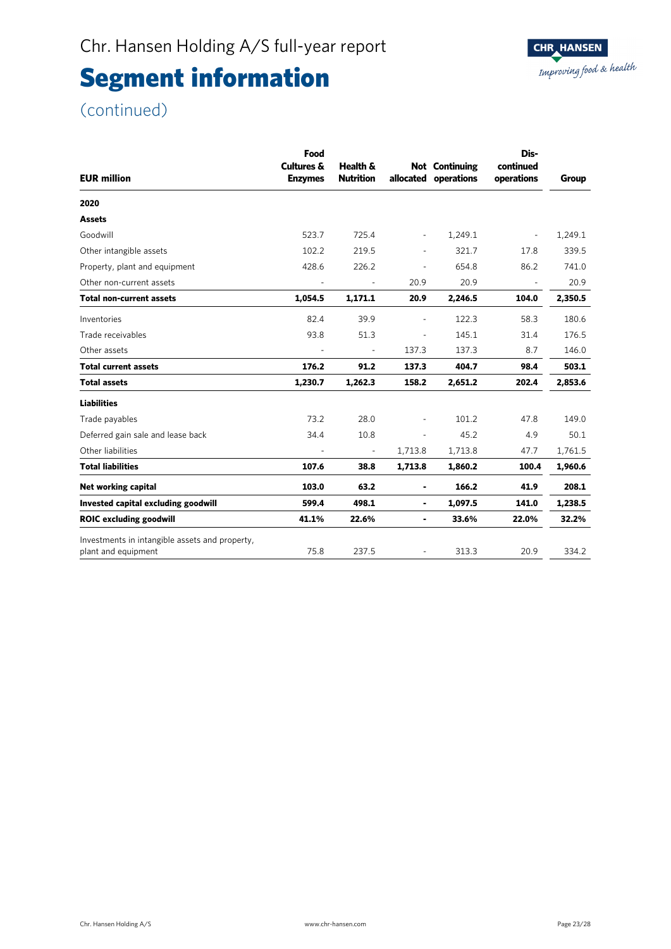### (continued)

| <b>EUR million</b>                                                    | Food<br><b>Cultures &amp;</b><br><b>Enzymes</b> | Health &<br><b>Nutrition</b> |                          | <b>Not</b> Continuing<br>allocated operations | Dis-<br>continued<br>operations | Group   |
|-----------------------------------------------------------------------|-------------------------------------------------|------------------------------|--------------------------|-----------------------------------------------|---------------------------------|---------|
| 2020                                                                  |                                                 |                              |                          |                                               |                                 |         |
| <b>Assets</b>                                                         |                                                 |                              |                          |                                               |                                 |         |
| Goodwill                                                              | 523.7                                           | 725.4                        | $\overline{\phantom{a}}$ | 1,249.1                                       | $\overline{\phantom{a}}$        | 1,249.1 |
| Other intangible assets                                               | 102.2                                           | 219.5                        | ۰                        | 321.7                                         | 17.8                            | 339.5   |
| Property, plant and equipment                                         | 428.6                                           | 226.2                        | ÷,                       | 654.8                                         | 86.2                            | 741.0   |
| Other non-current assets                                              | $\overline{\phantom{a}}$                        | $\sim$                       | 20.9                     | 20.9                                          | $\overline{\phantom{a}}$        | 20.9    |
| <b>Total non-current assets</b>                                       | 1,054.5                                         | 1,171.1                      | 20.9                     | 2,246.5                                       | 104.0                           | 2,350.5 |
| Inventories                                                           | 82.4                                            | 39.9                         | $\overline{\phantom{a}}$ | 122.3                                         | 58.3                            | 180.6   |
| Trade receivables                                                     | 93.8                                            | 51.3                         | $\overline{\phantom{a}}$ | 145.1                                         | 31.4                            | 176.5   |
| Other assets                                                          |                                                 | $\overline{\phantom{a}}$     | 137.3                    | 137.3                                         | 8.7                             | 146.0   |
| <b>Total current assets</b>                                           | 176.2                                           | 91.2                         | 137.3                    | 404.7                                         | 98.4                            | 503.1   |
| <b>Total assets</b>                                                   | 1,230.7                                         | 1,262.3                      | 158.2                    | 2,651.2                                       | 202.4                           | 2,853.6 |
| <b>Liabilities</b>                                                    |                                                 |                              |                          |                                               |                                 |         |
| Trade payables                                                        | 73.2                                            | 28.0                         |                          | 101.2                                         | 47.8                            | 149.0   |
| Deferred gain sale and lease back                                     | 34.4                                            | 10.8                         | $\overline{\phantom{a}}$ | 45.2                                          | 4.9                             | 50.1    |
| Other liabilities                                                     |                                                 | $\overline{\phantom{a}}$     | 1,713.8                  | 1,713.8                                       | 47.7                            | 1,761.5 |
| <b>Total liabilities</b>                                              | 107.6                                           | 38.8                         | 1,713.8                  | 1,860.2                                       | 100.4                           | 1,960.6 |
| Net working capital                                                   | 103.0                                           | 63.2                         | ۰                        | 166.2                                         | 41.9                            | 208.1   |
| Invested capital excluding goodwill                                   | 599.4                                           | 498.1                        | ۰                        | 1,097.5                                       | 141.0                           | 1,238.5 |
| <b>ROIC excluding goodwill</b>                                        | 41.1%                                           | 22.6%                        | $\blacksquare$           | 33.6%                                         | 22.0%                           | 32.2%   |
| Investments in intangible assets and property,<br>plant and equipment | 75.8                                            | 237.5                        |                          | 313.3                                         | 20.9                            | 334.2   |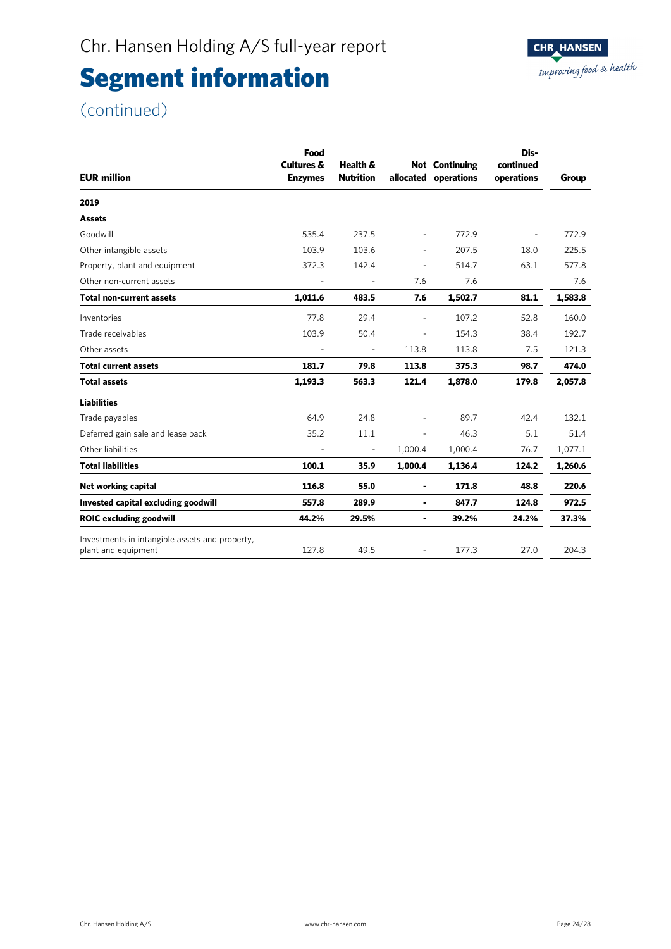### (continued)

|                                                | Food                                    | Dis-                         |                          |                                               |                         |         |  |
|------------------------------------------------|-----------------------------------------|------------------------------|--------------------------|-----------------------------------------------|-------------------------|---------|--|
| <b>EUR million</b>                             | <b>Cultures &amp;</b><br><b>Enzymes</b> | Health &<br><b>Nutrition</b> |                          | <b>Not Continuing</b><br>allocated operations | continued<br>operations | Group   |  |
| 2019                                           |                                         |                              |                          |                                               |                         |         |  |
| <b>Assets</b>                                  |                                         |                              |                          |                                               |                         |         |  |
| Goodwill                                       | 535.4                                   | 237.5                        |                          | 772.9                                         |                         | 772.9   |  |
| Other intangible assets                        | 103.9                                   | 103.6                        |                          | 207.5                                         | 18.0                    | 225.5   |  |
| Property, plant and equipment                  | 372.3                                   | 142.4                        | $\overline{\phantom{a}}$ | 514.7                                         | 63.1                    | 577.8   |  |
| Other non-current assets                       | $\overline{\phantom{a}}$                | $\overline{\phantom{a}}$     | 7.6                      | 7.6                                           |                         | 7.6     |  |
| <b>Total non-current assets</b>                | 1,011.6                                 | 483.5                        | 7.6                      | 1,502.7                                       | 81.1                    | 1,583.8 |  |
| Inventories                                    | 77.8                                    | 29.4                         |                          | 107.2                                         | 52.8                    | 160.0   |  |
| Trade receivables                              | 103.9                                   | 50.4                         | $\overline{\phantom{a}}$ | 154.3                                         | 38.4                    | 192.7   |  |
| Other assets                                   |                                         | $\overline{\phantom{a}}$     | 113.8                    | 113.8                                         | 7.5                     | 121.3   |  |
| <b>Total current assets</b>                    | 181.7                                   | 79.8                         | 113.8                    | 375.3                                         | 98.7                    | 474.0   |  |
| <b>Total assets</b>                            | 1,193.3                                 | 563.3                        | 121.4                    | 1,878.0                                       | 179.8                   | 2,057.8 |  |
| <b>Liabilities</b>                             |                                         |                              |                          |                                               |                         |         |  |
| Trade payables                                 | 64.9                                    | 24.8                         |                          | 89.7                                          | 42.4                    | 132.1   |  |
| Deferred gain sale and lease back              | 35.2                                    | 11.1                         | $\overline{\phantom{a}}$ | 46.3                                          | 5.1                     | 51.4    |  |
| Other liabilities                              |                                         |                              | 1,000.4                  | 1,000.4                                       | 76.7                    | 1,077.1 |  |
| <b>Total liabilities</b>                       | 100.1                                   | 35.9                         | 1,000.4                  | 1,136.4                                       | 124.2                   | 1,260.6 |  |
| Net working capital                            | 116.8                                   | 55.0                         | ٠                        | 171.8                                         | 48.8                    | 220.6   |  |
| Invested capital excluding goodwill            | 557.8                                   | 289.9                        | ۰                        | 847.7                                         | 124.8                   | 972.5   |  |
| <b>ROIC excluding goodwill</b>                 | 44.2%                                   | 29.5%                        | $\blacksquare$           | 39.2%                                         | 24.2%                   | 37.3%   |  |
| Investments in intangible assets and property, |                                         |                              |                          |                                               |                         |         |  |
| plant and equipment                            | 127.8                                   | 49.5                         |                          | 177.3                                         | 27.0                    | 204.3   |  |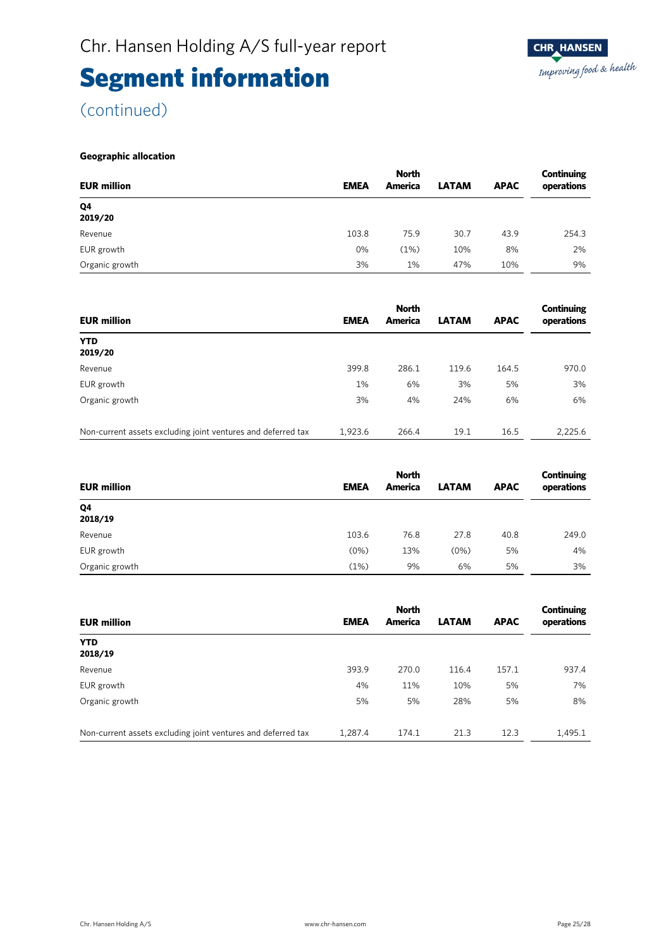(continued)

#### **Geographic allocation**

|                    | <b>North</b> |         |              |             |            |  |
|--------------------|--------------|---------|--------------|-------------|------------|--|
| <b>EUR million</b> | <b>EMEA</b>  | America | <b>LATAM</b> | <b>APAC</b> | operations |  |
| Q4<br>2019/20      |              |         |              |             |            |  |
| Revenue            | 103.8        | 75.9    | 30.7         | 43.9        | 254.3      |  |
| EUR growth         | 0%           | (1%)    | 10%          | 8%          | 2%         |  |
| Organic growth     | 3%           | 1%      | 47%          | 10%         | 9%         |  |

| <b>EUR million</b>                                           | <b>EMEA</b> | <b>North</b><br>America | <b>LATAM</b> | <b>APAC</b> | Continuing<br>operations |
|--------------------------------------------------------------|-------------|-------------------------|--------------|-------------|--------------------------|
| <b>YTD</b><br>2019/20                                        |             |                         |              |             |                          |
| Revenue                                                      | 399.8       | 286.1                   | 119.6        | 164.5       | 970.0                    |
| EUR growth                                                   | 1%          | 6%                      | 3%           | 5%          | 3%                       |
| Organic growth                                               | 3%          | 4%                      | 24%          | 6%          | 6%                       |
| Non-current assets excluding joint ventures and deferred tax | 1.923.6     | 266.4                   | 19.1         | 16.5        | 2,225.6                  |

| <b>EUR million</b> | <b>EMEA</b> | <b>North</b><br>America | <b>LATAM</b> | <b>APAC</b> | Continuing<br>operations |
|--------------------|-------------|-------------------------|--------------|-------------|--------------------------|
| Q4<br>2018/19      |             |                         |              |             |                          |
| Revenue            | 103.6       | 76.8                    | 27.8         | 40.8        | 249.0                    |
| EUR growth         | (0%)        | 13%                     | (0%)         | 5%          | 4%                       |
| Organic growth     | (1%)        | 9%                      | 6%           | 5%          | 3%                       |

|                                                              |             | <b>North</b> | Continuing   |             |            |
|--------------------------------------------------------------|-------------|--------------|--------------|-------------|------------|
| <b>EUR million</b>                                           | <b>EMEA</b> | America      | <b>LATAM</b> | <b>APAC</b> | operations |
| <b>YTD</b><br>2018/19                                        |             |              |              |             |            |
| Revenue                                                      | 393.9       | 270.0        | 116.4        | 157.1       | 937.4      |
| EUR growth                                                   | 4%          | 11%          | 10%          | 5%          | 7%         |
| Organic growth                                               | 5%          | 5%           | 28%          | 5%          | 8%         |
| Non-current assets excluding joint ventures and deferred tax | 1,287.4     | 174.1        | 21.3         | 12.3        | 1,495.1    |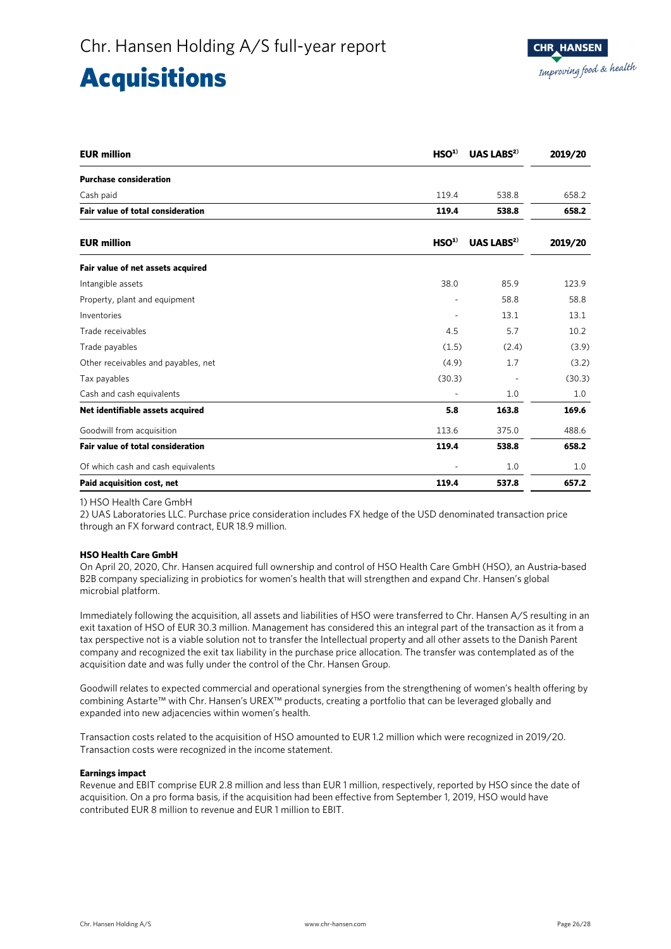### Acquisitions

| <b>EUR million</b>                       | HSO <sup>1</sup> | <b>UAS LABS<sup>2)</sup></b> | 2019/20 |
|------------------------------------------|------------------|------------------------------|---------|
| <b>Purchase consideration</b>            |                  |                              |         |
| Cash paid                                | 119.4            | 538.8                        | 658.2   |
| <b>Fair value of total consideration</b> | 119.4            | 538.8                        | 658.2   |
| <b>EUR million</b>                       | HSO <sup>1</sup> | UAS LABS $^{2)}$             | 2019/20 |
| Fair value of net assets acquired        |                  |                              |         |
| Intangible assets                        | 38.0             | 85.9                         | 123.9   |
| Property, plant and equipment            |                  | 58.8                         | 58.8    |
| Inventories                              |                  | 13.1                         | 13.1    |
| Trade receivables                        | 4.5              | 5.7                          | 10.2    |
| Trade payables                           | (1.5)            | (2.4)                        | (3.9)   |
| Other receivables and payables, net      | (4.9)            | 1.7                          | (3.2)   |
| Tax payables                             | (30.3)           |                              | (30.3)  |
| Cash and cash equivalents                |                  | 1.0                          | 1.0     |
| Net identifiable assets acquired         | 5.8              | 163.8                        | 169.6   |
| Goodwill from acquisition                | 113.6            | 375.0                        | 488.6   |
| <b>Fair value of total consideration</b> | 119.4            | 538.8                        | 658.2   |
| Of which cash and cash equivalents       |                  | 1.0                          | 1.0     |
| Paid acquisition cost, net               | 119.4            | 537.8                        | 657.2   |

#### 1) HSO Health Care GmbH

2) UAS Laboratories LLC. Purchase price consideration includes FX hedge of the USD denominated transaction price through an FX forward contract, EUR 18.9 million.

#### **HSO Health Care GmbH**

On April 20, 2020, Chr. Hansen acquired full ownership and control of HSO Health Care GmbH (HSO), an Austria-based B2B company specializing in probiotics for women's health that will strengthen and expand Chr. Hansen's global microbial platform.

Immediately following the acquisition, all assets and liabilities of HSO were transferred to Chr. Hansen A/S resulting in an exit taxation of HSO of EUR 30.3 million. Management has considered this an integral part of the transaction as it from a tax perspective not is a viable solution not to transfer the Intellectual property and all other assets to the Danish Parent company and recognized the exit tax liability in the purchase price allocation. The transfer was contemplated as of the acquisition date and was fully under the control of the Chr. Hansen Group.

Goodwill relates to expected commercial and operational synergies from the strengthening of women's health offering by combining Astarte™ with Chr. Hansen's UREX™ products, creating a portfolio that can be leveraged globally and expanded into new adjacencies within women's health.

Transaction costs related to the acquisition of HSO amounted to EUR 1.2 million which were recognized in 2019/20. Transaction costs were recognized in the income statement.

#### **Earnings impact**

Revenue and EBIT comprise EUR 2.8 million and less than EUR 1 million, respectively, reported by HSO since the date of acquisition. On a pro forma basis, if the acquisition had been effective from September 1, 2019, HSO would have contributed EUR 8 million to revenue and EUR 1 million to EBIT.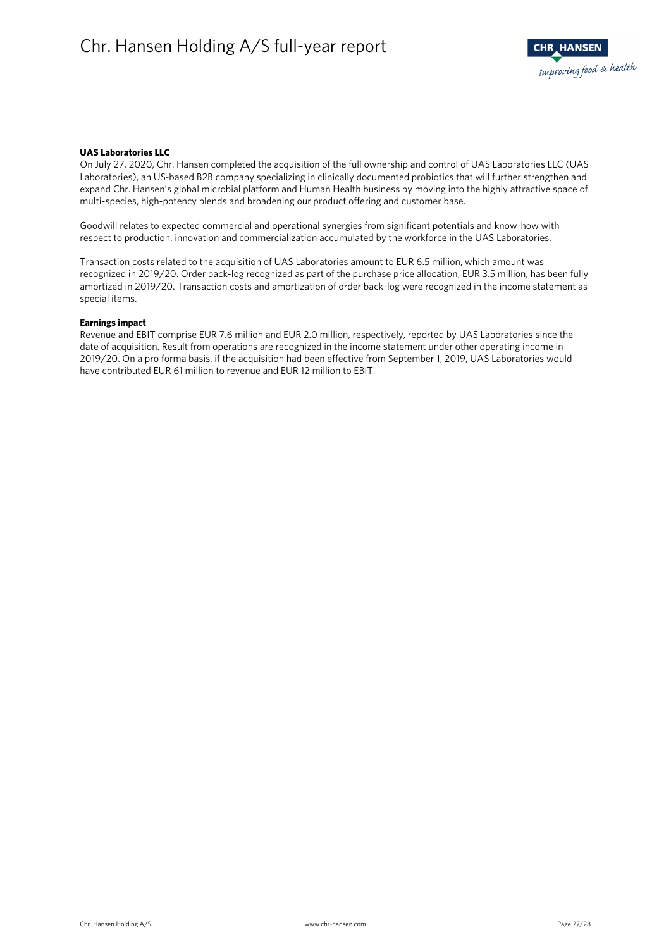

#### **UAS Laboratories LLC**

On July 27, 2020, Chr. Hansen completed the acquisition of the full ownership and control of UAS Laboratories LLC (UAS Laboratories), an US-based B2B company specializing in clinically documented probiotics that will further strengthen and expand Chr. Hansen's global microbial platform and Human Health business by moving into the highly attractive space of multi-species, high-potency blends and broadening our product offering and customer base.

Goodwill relates to expected commercial and operational synergies from significant potentials and know-how with respect to production, innovation and commercialization accumulated by the workforce in the UAS Laboratories.

Transaction costs related to the acquisition of UAS Laboratories amount to EUR 6.5 million, which amount was recognized in 2019/20. Order back-log recognized as part of the purchase price allocation, EUR 3.5 million, has been fully amortized in 2019/20. Transaction costs and amortization of order back-log were recognized in the income statement as special items.

#### **Earnings impact**

Revenue and EBIT comprise EUR 7.6 million and EUR 2.0 million, respectively, reported by UAS Laboratories since the date of acquisition. Result from operations are recognized in the income statement under other operating income in 2019/20. On a pro forma basis, if the acquisition had been effective from September 1, 2019, UAS Laboratories would have contributed EUR 61 million to revenue and EUR 12 million to EBIT.